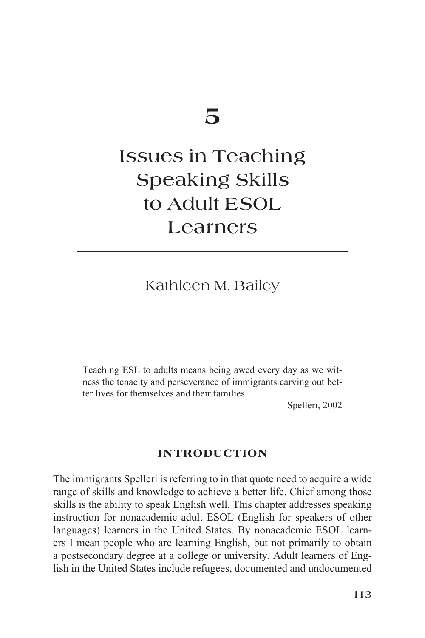# **5**

# **Issues in Teaching Speaking Skills to Adult ESOL Learners**

Kathleen M. Bailey

Teaching ESL to adults means being awed every day as we witness the tenacity and perseverance of immigrants carving out better lives for themselves and their families.

—Spelleri, 2002

## **INTRODUCTION**

The immigrants Spelleri is referring to in that quote need to acquire a wide range of skills and knowledge to achieve a better life. Chief among those skills is the ability to speak English well. This chapter addresses speaking instruction for nonacademic adult ESOL (English for speakers of other languages) learners in the United States. By nonacademic ESOL learners I mean people who are learning English, but not primarily to obtain a postsecondary degree at a college or university. Adult learners of English in the United States include refugees, documented and undocumented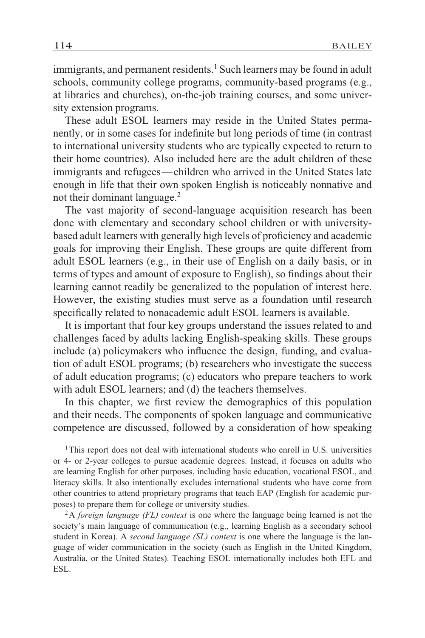immigrants, and permanent residents.<sup>1</sup> Such learners may be found in adult schools, community college programs, community-based programs (e.g., at libraries and churches), on-the-job training courses, and some university extension programs.

These adult ESOL learners may reside in the United States permanently, or in some cases for indefinite but long periods of time (in contrast to international university students who are typically expected to return to their home countries). Also included here are the adult children of these immigrants and refugees—children who arrived in the United States late enough in life that their own spoken English is noticeably nonnative and not their dominant language.2

The vast majority of second-language acquisition research has been done with elementary and secondary school children or with universitybased adult learners with generally high levels of proficiency and academic goals for improving their English. These groups are quite different from adult ESOL learners (e.g., in their use of English on a daily basis, or in terms of types and amount of exposure to English), so findings about their learning cannot readily be generalized to the population of interest here. However, the existing studies must serve as a foundation until research specifically related to nonacademic adult ESOL learners is available.

It is important that four key groups understand the issues related to and challenges faced by adults lacking English-speaking skills. These groups include (a) policymakers who influence the design, funding, and evaluation of adult ESOL programs; (b) researchers who investigate the success of adult education programs; (c) educators who prepare teachers to work with adult ESOL learners; and (d) the teachers themselves.

In this chapter, we first review the demographics of this population and their needs. The components of spoken language and communicative competence are discussed, followed by a consideration of how speaking

<sup>&</sup>lt;sup>1</sup>This report does not deal with international students who enroll in U.S. universities or 4- or 2-year colleges to pursue academic degrees. Instead, it focuses on adults who are learning English for other purposes, including basic education, vocational ESOL, and literacy skills. It also intentionally excludes international students who have come from other countries to attend proprietary programs that teach EAP (English for academic purposes) to prepare them for college or university studies.

<sup>2</sup>A *foreign language (FL) context* is one where the language being learned is not the society's main language of communication (e.g., learning English as a secondary school student in Korea). A *second language (SL) context* is one where the language is the language of wider communication in the society (such as English in the United Kingdom, Australia, or the United States). Teaching ESOL internationally includes both EFL and ESL.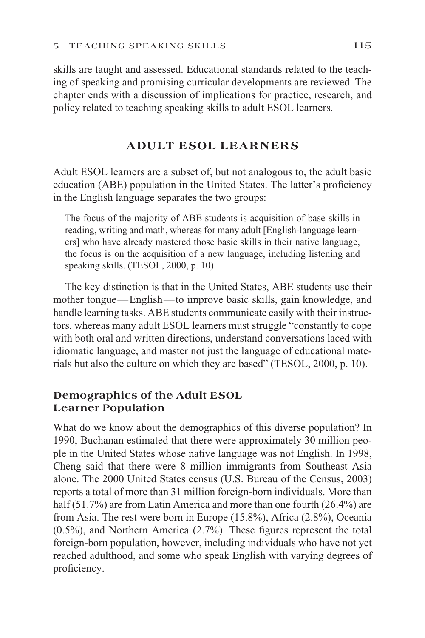skills are taught and assessed. Educational standards related to the teaching of speaking and promising curricular developments are reviewed. The chapter ends with a discussion of implications for practice, research, and policy related to teaching speaking skills to adult ESOL learners.

## **ADULT ESOL LEARNERS**

Adult ESOL learners are a subset of, but not analogous to, the adult basic education (ABE) population in the United States. The latter's proficiency in the English language separates the two groups:

The focus of the majority of ABE students is acquisition of base skills in reading, writing and math, whereas for many adult [English-language learners] who have already mastered those basic skills in their native language, the focus is on the acquisition of a new language, including listening and speaking skills. (TESOL, 2000, p. 10)

The key distinction is that in the United States, ABE students use their mother tongue—English—to improve basic skills, gain knowledge, and handle learning tasks. ABE students communicate easily with their instructors, whereas many adult ESOL learners must struggle "constantly to cope with both oral and written directions, understand conversations laced with idiomatic language, and master not just the language of educational materials but also the culture on which they are based" (TESOL, 2000, p. 10).

# **Demographics of the Adult ESOL Learner Population**

What do we know about the demographics of this diverse population? In 1990, Buchanan estimated that there were approximately 30 million people in the United States whose native language was not English. In 1998, Cheng said that there were 8 million immigrants from Southeast Asia alone. The 2000 United States census (U.S. Bureau of the Census, 2003) reports a total of more than 31 million foreign-born individuals. More than half (51.7%) are from Latin America and more than one fourth (26.4%) are from Asia. The rest were born in Europe (15.8%), Africa (2.8%), Oceania  $(0.5\%)$ , and Northern America  $(2.7\%)$ . These figures represent the total foreign-born population, however, including individuals who have not yet reached adulthood, and some who speak English with varying degrees of proficiency.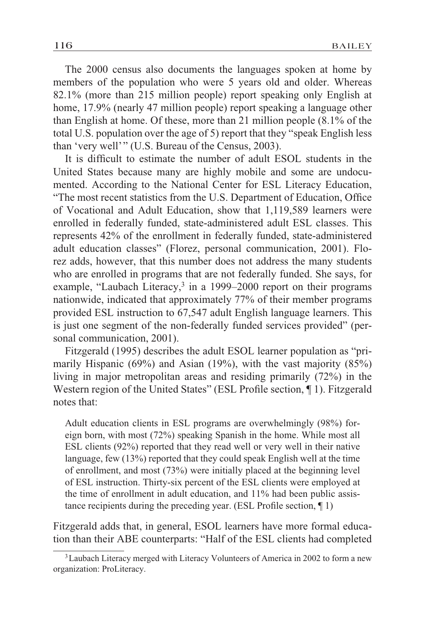The 2000 census also documents the languages spoken at home by members of the population who were 5 years old and older. Whereas 82.1% (more than 215 million people) report speaking only English at home, 17.9% (nearly 47 million people) report speaking a language other than English at home. Of these, more than 21 million people (8.1% of the total U.S. population over the age of 5) report that they "speak English less than 'very well'" (U.S. Bureau of the Census, 2003).

It is difficult to estimate the number of adult ESOL students in the United States because many are highly mobile and some are undocumented. According to the National Center for ESL Literacy Education, "The most recent statistics from the U.S. Department of Education, Office of Vocational and Adult Education, show that 1,119,589 learners were enrolled in federally funded, state-administered adult ESL classes. This represents 42% of the enrollment in federally funded, state-administered adult education classes" (Florez, personal communication, 2001). Florez adds, however, that this number does not address the many students who are enrolled in programs that are not federally funded. She says, for example, "Laubach Literacy, $3$  in a 1999–2000 report on their programs nationwide, indicated that approximately 77% of their member programs provided ESL instruction to 67,547 adult English language learners. This is just one segment of the non-federally funded services provided" (personal communication, 2001).

Fitzgerald (1995) describes the adult ESOL learner population as "primarily Hispanic (69%) and Asian (19%), with the vast majority (85%) living in major metropolitan areas and residing primarily (72%) in the Western region of the United States" (ESL Profile section, 1). Fitzgerald notes that:

Adult education clients in ESL programs are overwhelmingly (98%) foreign born, with most (72%) speaking Spanish in the home. While most all ESL clients (92%) reported that they read well or very well in their native language, few (13%) reported that they could speak English well at the time of enrollment, and most (73%) were initially placed at the beginning level of ESL instruction. Thirty-six percent of the ESL clients were employed at the time of enrollment in adult education, and 11% had been public assistance recipients during the preceding year. (ESL Profile section,  $\P$ 1)

Fitzgerald adds that, in general, ESOL learners have more formal education than their ABE counterparts: "Half of the ESL clients had completed

<sup>&</sup>lt;sup>3</sup> Laubach Literacy merged with Literacy Volunteers of America in 2002 to form a new organization: ProLiteracy.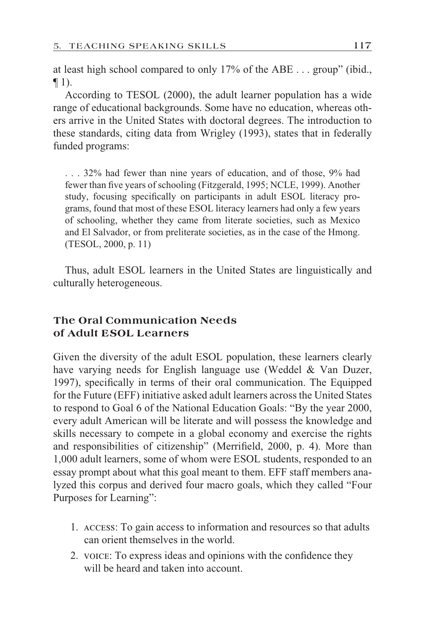at least high school compared to only 17% of the ABE . . . group" (ibid.,  $\P$  1).

According to TESOL (2000), the adult learner population has a wide range of educational backgrounds. Some have no education, whereas others arrive in the United States with doctoral degrees. The introduction to these standards, citing data from Wrigley (1993), states that in federally funded programs:

. . . 32% had fewer than nine years of education, and of those, 9% had fewer than five years of schooling (Fitzgerald, 1995; NCLE, 1999). Another study, focusing specifically on participants in adult ESOL literacy programs, found that most of these ESOL literacy learners had only a few years of schooling, whether they came from literate societies, such as Mexico and El Salvador, or from preliterate societies, as in the case of the Hmong. (TESOL, 2000, p. 11)

Thus, adult ESOL learners in the United States are linguistically and culturally heterogeneous.

# **The Oral Communication Needs of Adult ESOL Learners**

Given the diversity of the adult ESOL population, these learners clearly have varying needs for English language use (Weddel & Van Duzer, 1997), specifically in terms of their oral communication. The Equipped for the Future (EFF) initiative asked adult learners across the United States to respond to Goal 6 of the National Education Goals: "By the year 2000, every adult American will be literate and will possess the knowledge and skills necessary to compete in a global economy and exercise the rights and responsibilities of citizenship" (Merrifield, 2000, p. 4). More than 1,000 adult learners, some of whom were ESOL students, responded to an essay prompt about what this goal meant to them. EFF staff members analyzed this corpus and derived four macro goals, which they called "Four Purposes for Learning":

- 1. access: To gain access to information and resources so that adults can orient themselves in the world.
- 2. voice: To express ideas and opinions with the confidence they will be heard and taken into account.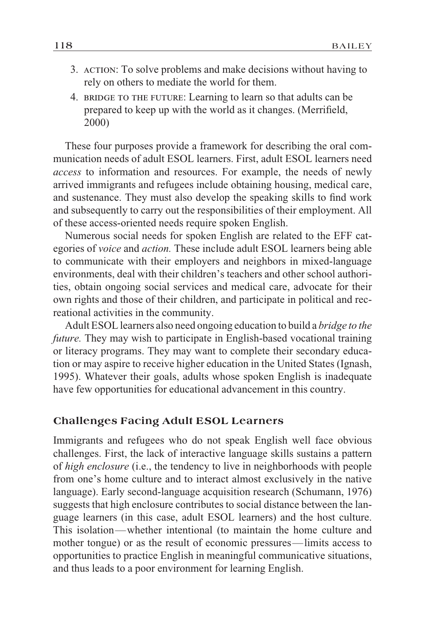- 3. action: To solve problems and make decisions without having to rely on others to mediate the world for them.
- 4. BRIDGE TO THE FUTURE: Learning to learn so that adults can be prepared to keep up with the world as it changes. (Merrifield, 2000)

These four purposes provide a framework for describing the oral communication needs of adult ESOL learners. First, adult ESOL learners need *access* to information and resources. For example, the needs of newly arrived immigrants and refugees include obtaining housing, medical care, and sustenance. They must also develop the speaking skills to find work and subsequently to carry out the responsibilities of their employment. All of these access-oriented needs require spoken English.

Numerous social needs for spoken English are related to the EFF categories of *voice* and *action.* These include adult ESOL learners being able to communicate with their employers and neighbors in mixed-language environments, deal with their children's teachers and other school authorities, obtain ongoing social services and medical care, advocate for their own rights and those of their children, and participate in political and recreational activities in the community.

Adult ESOL learners also need ongoing education to build a *bridge to the future.* They may wish to participate in English-based vocational training or literacy programs. They may want to complete their secondary education or may aspire to receive higher education in the United States (Ignash, 1995). Whatever their goals, adults whose spoken English is inadequate have few opportunities for educational advancement in this country.

#### **Challenges Facing Adult ESOL Learners**

Immigrants and refugees who do not speak English well face obvious challenges. First, the lack of interactive language skills sustains a pattern of *high enclosure* (i.e., the tendency to live in neighborhoods with people from one's home culture and to interact almost exclusively in the native language). Early second-language acquisition research (Schumann, 1976) suggests that high enclosure contributes to social distance between the language learners (in this case, adult ESOL learners) and the host culture. This isolation—whether intentional (to maintain the home culture and mother tongue) or as the result of economic pressures—limits access to opportunities to practice English in meaningful communicative situations, and thus leads to a poor environment for learning English.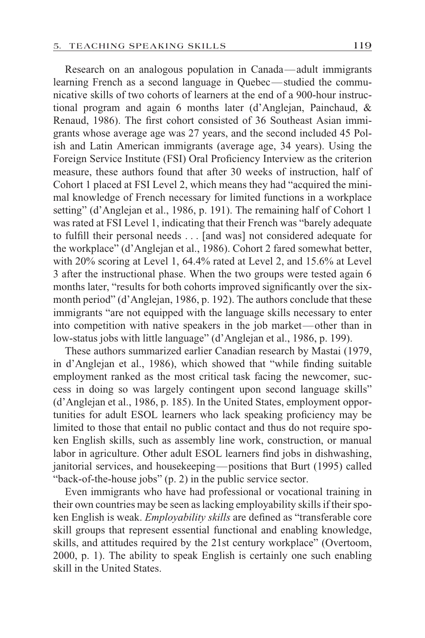Research on an analogous population in Canada—adult immigrants learning French as a second language in Quebec—studied the communicative skills of two cohorts of learners at the end of a 900-hour instructional program and again 6 months later (d'Anglejan, Painchaud, & Renaud, 1986). The first cohort consisted of 36 Southeast Asian immigrants whose average age was 27 years, and the second included 45 Polish and Latin American immigrants (average age, 34 years). Using the Foreign Service Institute (FSI) Oral Proficiency Interview as the criterion measure, these authors found that after 30 weeks of instruction, half of Cohort 1 placed at FSI Level 2, which means they had "acquired the minimal knowledge of French necessary for limited functions in a workplace setting" (d'Anglejan et al., 1986, p. 191). The remaining half of Cohort 1 was rated at FSI Level 1, indicating that their French was "barely adequate to fulfill their personal needs . . . [and was] not considered adequate for the workplace" (d'Anglejan et al., 1986). Cohort 2 fared somewhat better, with 20% scoring at Level 1, 64.4% rated at Level 2, and 15.6% at Level 3 after the instructional phase. When the two groups were tested again 6 months later, "results for both cohorts improved significantly over the sixmonth period" (d'Anglejan, 1986, p. 192). The authors conclude that these immigrants "are not equipped with the language skills necessary to enter into competition with native speakers in the job market—other than in low-status jobs with little language" (d'Anglejan et al., 1986, p. 199).

These authors summarized earlier Canadian research by Mastai (1979, in d'Anglejan et al., 1986), which showed that "while finding suitable employment ranked as the most critical task facing the newcomer, success in doing so was largely contingent upon second language skills" (d'Anglejan et al., 1986, p. 185). In the United States, employment opportunities for adult ESOL learners who lack speaking proficiency may be limited to those that entail no public contact and thus do not require spoken English skills, such as assembly line work, construction, or manual labor in agriculture. Other adult ESOL learners find jobs in dishwashing, janitorial services, and housekeeping—positions that Burt (1995) called "back-of-the-house jobs" (p. 2) in the public service sector.

Even immigrants who have had professional or vocational training in their own countries may be seen as lacking employability skills if their spoken English is weak. *Employability skills* are defined as "transferable core skill groups that represent essential functional and enabling knowledge, skills, and attitudes required by the 21st century workplace" (Overtoom, 2000, p. 1). The ability to speak English is certainly one such enabling skill in the United States.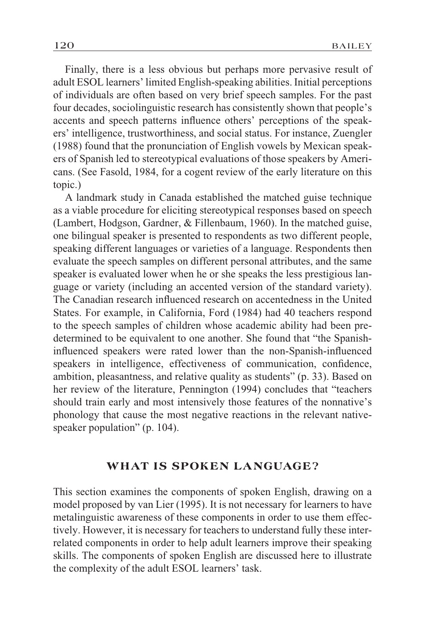Finally, there is a less obvious but perhaps more pervasive result of adult ESOL learners' limited English-speaking abilities. Initial perceptions of individuals are often based on very brief speech samples. For the past four decades, sociolinguistic research has consistently shown that people's accents and speech patterns influence others' perceptions of the speakers' intelligence, trustworthiness, and social status. For instance, Zuengler (1988) found that the pronunciation of English vowels by Mexican speakers of Spanish led to stereotypical evaluations of those speakers by Americans. (See Fasold, 1984, for a cogent review of the early literature on this topic.)

A landmark study in Canada established the matched guise technique as a viable procedure for eliciting stereotypical responses based on speech (Lambert, Hodgson, Gardner, & Fillenbaum, 1960). In the matched guise, one bilingual speaker is presented to respondents as two different people, speaking different languages or varieties of a language. Respondents then evaluate the speech samples on different personal attributes, and the same speaker is evaluated lower when he or she speaks the less prestigious language or variety (including an accented version of the standard variety). The Canadian research influenced research on accentedness in the United States. For example, in California, Ford (1984) had 40 teachers respond to the speech samples of children whose academic ability had been predetermined to be equivalent to one another. She found that "the Spanish influenced speakers were rated lower than the non-Spanish-influenced speakers in intelligence, effectiveness of communication, confidence, ambition, pleasantness, and relative quality as students" (p. 33). Based on her review of the literature, Pennington (1994) concludes that "teachers should train early and most intensively those features of the nonnative's phonology that cause the most negative reactions in the relevant nativespeaker population" (p. 104).

## **WHAT IS SPOKEN LANGUAGE?**

This section examines the components of spoken English, drawing on a model proposed by van Lier (1995). It is not necessary for learners to have metalinguistic awareness of these components in order to use them effectively. However, it is necessary for teachers to understand fully these interrelated components in order to help adult learners improve their speaking skills. The components of spoken English are discussed here to illustrate the complexity of the adult ESOL learners' task.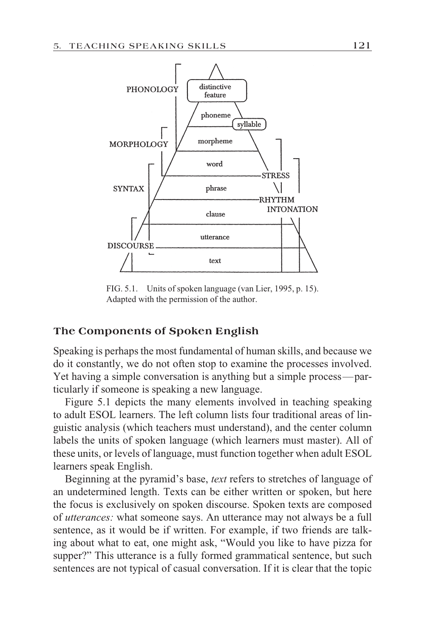

FIG. 5.1. Units of spoken language (van Lier, 1995, p. 15). Adapted with the permission of the author.

#### **The Components of Spoken English**

Speaking is perhaps the most fundamental of human skills, and because we do it constantly, we do not often stop to examine the processes involved. Yet having a simple conversation is anything but a simple process—particularly if someone is speaking a new language.

Figure 5.1 depicts the many elements involved in teaching speaking to adult ESOL learners. The left column lists four traditional areas of linguistic analysis (which teachers must understand), and the center column labels the units of spoken language (which learners must master). All of these units, or levels of language, must function together when adult ESOL learners speak English.

Beginning at the pyramid's base, *text* refers to stretches of language of an undetermined length. Texts can be either written or spoken, but here the focus is exclusively on spoken discourse. Spoken texts are composed of *utterances:* what someone says. An utterance may not always be a full sentence, as it would be if written. For example, if two friends are talking about what to eat, one might ask, "Would you like to have pizza for supper?" This utterance is a fully formed grammatical sentence, but such sentences are not typical of casual conversation. If it is clear that the topic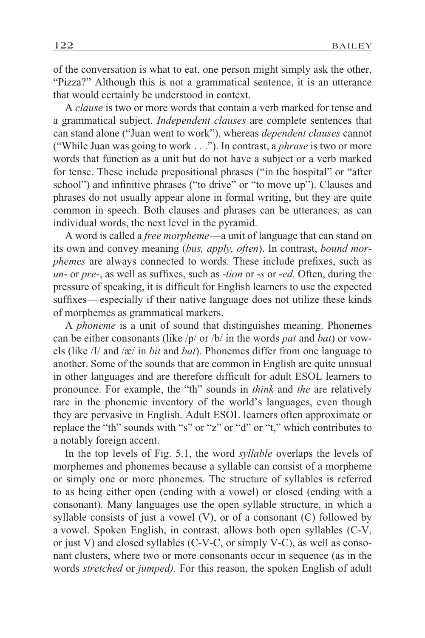of the conversation is what to eat, one person might simply ask the other, "Pizza?" Although this is not a grammatical sentence, it is an utterance that would certainly be understood in context.

A *clause* is two or more words that contain a verb marked for tense and a grammatical subject. *Independent clauses* are complete sentences that can stand alone ("Juan went to work"), whereas *dependent clauses* cannot ("While Juan was going to work . . ."). In contrast, a *phrase* is two or more words that function as a unit but do not have a subject or a verb marked for tense. These include prepositional phrases ("in the hospital" or "after school") and infinitive phrases ("to drive" or "to move up"). Clauses and phrases do not usually appear alone in formal writing, but they are quite common in speech. Both clauses and phrases can be utterances, as can individual words, the next level in the pyramid.

A word is called a *free morpheme*—a unit of language that can stand on its own and convey meaning (*bus, apply, often*). In contrast, *bound morphemes* are always connected to words. These include prefixes, such as *un*- or *pre*-, as well as suffixes, such as -*tion* or -*s* or -*ed*. Often, during the pressure of speaking, it is difficult for English learners to use the expected suffixes—especially if their native language does not utilize these kinds of morphemes as grammatical markers.

A *phoneme* is a unit of sound that distinguishes meaning. Phonemes can be either consonants (like /p/ or /b/ in the words *pat* and *bat*) or vowels (like /I/ and /æ/ in *bit* and *bat*). Phonemes differ from one language to another. Some of the sounds that are common in English are quite unusual in other languages and are therefore difficult for adult ESOL learners to pronounce. For example, the "th" sounds in *think* and *the* are relatively rare in the phonemic inventory of the world's languages, even though they are pervasive in English. Adult ESOL learners often approximate or replace the "th" sounds with "s" or "z" or "d" or "t," which contributes to a notably foreign accent.

In the top levels of Fig. 5.1, the word *syllable* overlaps the levels of morphemes and phonemes because a syllable can consist of a morpheme or simply one or more phonemes. The structure of syllables is referred to as being either open (ending with a vowel) or closed (ending with a consonant). Many languages use the open syllable structure, in which a syllable consists of just a vowel (V), or of a consonant (C) followed by a vowel. Spoken English, in contrast, allows both open syllables (C-V, or just V) and closed syllables (C-V-C, or simply V-C), as well as consonant clusters, where two or more consonants occur in sequence (as in the words *stretched* or *jumped).* For this reason, the spoken English of adult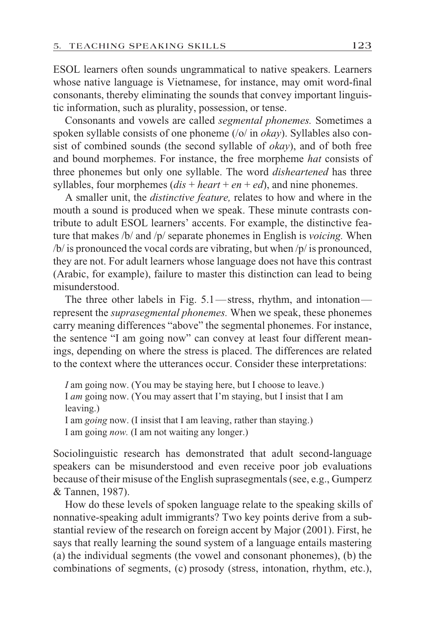ESOL learners often sounds ungrammatical to native speakers. Learners whose native language is Vietnamese, for instance, may omit word-final consonants, thereby eliminating the sounds that convey important linguistic information, such as plurality, possession, or tense.

Consonants and vowels are called *segmental phonemes.* Sometimes a spoken syllable consists of one phoneme (/o/ in *okay*). Syllables also consist of combined sounds (the second syllable of *okay*), and of both free and bound morphemes. For instance, the free morpheme *hat* consists of three phonemes but only one syllable. The word *disheartened* has three syllables, four morphemes  $(dis + heart + en + ed)$ , and nine phonemes.

A smaller unit, the *distinctive feature,* relates to how and where in the mouth a sound is produced when we speak. These minute contrasts contribute to adult ESOL learners' accents. For example, the distinctive feature that makes /b/ and /p/ separate phonemes in English is *voicing.* When /b/ is pronounced the vocal cords are vibrating, but when /p/ is pronounced, they are not. For adult learners whose language does not have this contrast (Arabic, for example), failure to master this distinction can lead to being misunderstood.

The three other labels in Fig. 5.1—stress, rhythm, and intonation represent the *suprasegmental phonemes.* When we speak, these phonemes carry meaning differences "above" the segmental phonemes. For instance, the sentence "I am going now" can convey at least four different meanings, depending on where the stress is placed. The differences are related to the context where the utterances occur. Consider these interpretations:

*I* am going now. (You may be staying here, but I choose to leave.) I *am* going now. (You may assert that I'm staying, but I insist that I am leaving.) I am *going* now. (I insist that I am leaving, rather than staying.) I am going *now.* (I am not waiting any longer.)

Sociolinguistic research has demonstrated that adult second-language speakers can be misunderstood and even receive poor job evaluations because of their misuse of the English suprasegmentals (see, e.g., Gumperz & Tannen, 1987).

How do these levels of spoken language relate to the speaking skills of nonnative-speaking adult immigrants? Two key points derive from a substantial review of the research on foreign accent by Major (2001). First, he says that really learning the sound system of a language entails mastering (a) the individual segments (the vowel and consonant phonemes), (b) the combinations of segments, (c) prosody (stress, intonation, rhythm, etc.),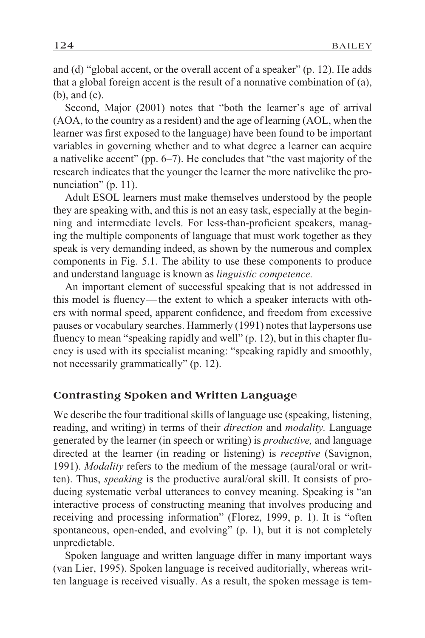and (d) "global accent, or the overall accent of a speaker" (p. 12). He adds that a global foreign accent is the result of a nonnative combination of (a), (b), and (c).

Second, Major (2001) notes that "both the learner's age of arrival (AOA, to the country as a resident) and the age of learning (AOL, when the learner was first exposed to the language) have been found to be important variables in governing whether and to what degree a learner can acquire a nativelike accent" (pp. 6–7). He concludes that "the vast majority of the research indicates that the younger the learner the more nativelike the pronunciation" (p. 11).

Adult ESOL learners must make themselves understood by the people they are speaking with, and this is not an easy task, especially at the beginning and intermediate levels. For less-than-proficient speakers, managing the multiple components of language that must work together as they speak is very demanding indeed, as shown by the numerous and complex components in Fig. 5.1. The ability to use these components to produce and understand language is known as *linguistic competence.*

An important element of successful speaking that is not addressed in this model is fluency—the extent to which a speaker interacts with others with normal speed, apparent confidence, and freedom from excessive pauses or vocabulary searches. Hammerly (1991) notes that laypersons use fluency to mean "speaking rapidly and well" (p. 12), but in this chapter fluency is used with its specialist meaning: "speaking rapidly and smoothly, not necessarily grammatically" (p. 12).

## **Contrasting Spoken and Written Language**

We describe the four traditional skills of language use (speaking, listening, reading, and writing) in terms of their *direction* and *modality.* Language generated by the learner (in speech or writing) is *productive,* and language directed at the learner (in reading or listening) is *receptive* (Savignon, 1991). *Modality* refers to the medium of the message (aural/oral or written). Thus, *speaking* is the productive aural/oral skill. It consists of producing systematic verbal utterances to convey meaning. Speaking is "an interactive process of constructing meaning that involves producing and receiving and processing information" (Florez, 1999, p. 1). It is "often spontaneous, open-ended, and evolving" (p. 1), but it is not completely unpredictable.

Spoken language and written language differ in many important ways (van Lier, 1995). Spoken language is received auditorially, whereas written language is received visually. As a result, the spoken message is tem-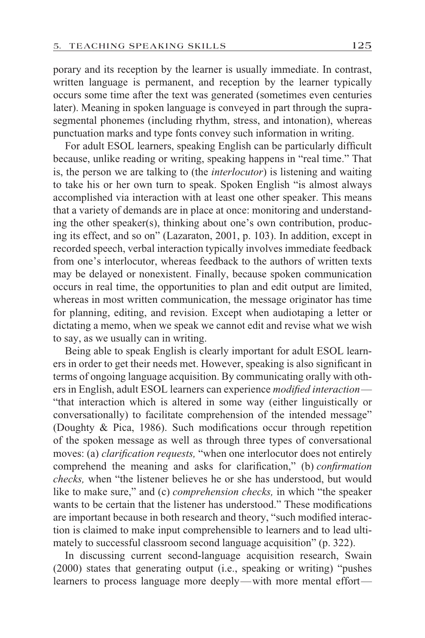porary and its reception by the learner is usually immediate. In contrast, written language is permanent, and reception by the learner typically occurs some time after the text was generated (sometimes even centuries later). Meaning in spoken language is conveyed in part through the suprasegmental phonemes (including rhythm, stress, and intonation), whereas punctuation marks and type fonts convey such information in writing.

For adult ESOL learners, speaking English can be particularly difficult because, unlike reading or writing, speaking happens in "real time." That is, the person we are talking to (the *interlocutor*) is listening and waiting to take his or her own turn to speak. Spoken English "is almost always accomplished via interaction with at least one other speaker. This means that a variety of demands are in place at once: monitoring and understanding the other speaker(s), thinking about one's own contribution, producing its effect, and so on" (Lazaraton, 2001, p. 103). In addition, except in recorded speech, verbal interaction typically involves immediate feedback from one's interlocutor, whereas feedback to the authors of written texts may be delayed or nonexistent. Finally, because spoken communication occurs in real time, the opportunities to plan and edit output are limited, whereas in most written communication, the message originator has time for planning, editing, and revision. Except when audiotaping a letter or dictating a memo, when we speak we cannot edit and revise what we wish to say, as we usually can in writing.

Being able to speak English is clearly important for adult ESOL learners in order to get their needs met. However, speaking is also significant in terms of ongoing language acquisition. By communicating orally with others in English, adult ESOL learners can experience *modified interaction*— "that interaction which is altered in some way (either linguistically or conversationally) to facilitate comprehension of the intended message" (Doughty & Pica, 1986). Such modifications occur through repetition of the spoken message as well as through three types of conversational moves: (a) *clarification requests*, "when one interlocutor does not entirely comprehend the meaning and asks for clarification," (b) *confirmation checks,* when "the listener believes he or she has understood, but would like to make sure," and (c) *comprehension checks,* in which "the speaker wants to be certain that the listener has understood." These modifications are important because in both research and theory, "such modified interaction is claimed to make input comprehensible to learners and to lead ultimately to successful classroom second language acquisition" (p. 322).

In discussing current second-language acquisition research, Swain (2000) states that generating output (i.e., speaking or writing) "pushes learners to process language more deeply—with more mental effort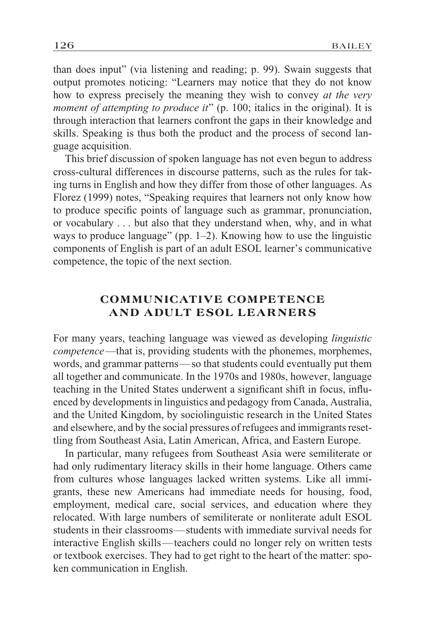than does input" (via listening and reading; p. 99). Swain suggests that output promotes noticing: "Learners may notice that they do not know how to express precisely the meaning they wish to convey *at the very moment of attempting to produce it*" (p. 100; italics in the original). It is through interaction that learners confront the gaps in their knowledge and skills. Speaking is thus both the product and the process of second language acquisition.

This brief discussion of spoken language has not even begun to address cross-cultural differences in discourse patterns, such as the rules for taking turns in English and how they differ from those of other languages. As Florez (1999) notes, "Speaking requires that learners not only know how to produce specific points of language such as grammar, pronunciation, or vocabulary . . . but also that they understand when, why, and in what ways to produce language" (pp. 1–2). Knowing how to use the linguistic components of English is part of an adult ESOL learner's communicative competence, the topic of the next section.

# **COMMUNICATIVE COMPETENCE AND ADULT ESOL LEARNERS**

For many years, teaching language was viewed as developing *linguistic competence*—that is, providing students with the phonemes, morphemes, words, and grammar patterns—so that students could eventually put them all together and communicate. In the 1970s and 1980s, however, language teaching in the United States underwent a significant shift in focus, influenced by developments in linguistics and pedagogy from Canada, Australia, and the United Kingdom, by sociolinguistic research in the United States and elsewhere, and by the social pressures of refugees and immigrants resettling from Southeast Asia, Latin American, Africa, and Eastern Europe.

In particular, many refugees from Southeast Asia were semiliterate or had only rudimentary literacy skills in their home language. Others came from cultures whose languages lacked written systems. Like all immigrants, these new Americans had immediate needs for housing, food, employment, medical care, social services, and education where they relocated. With large numbers of semiliterate or nonliterate adult ESOL students in their classrooms—students with immediate survival needs for interactive English skills—teachers could no longer rely on written tests or textbook exercises. They had to get right to the heart of the matter: spoken communication in English.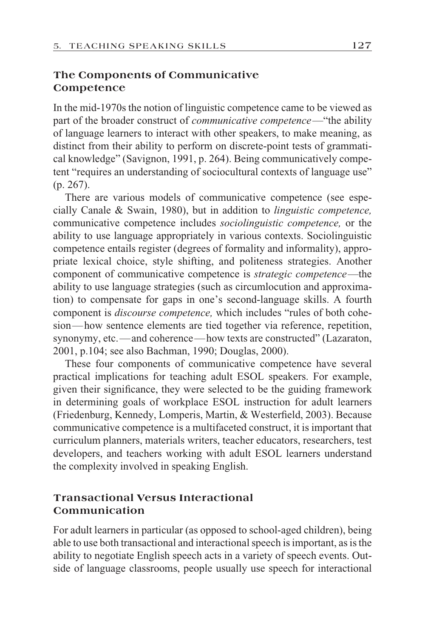## **The Components of Communicative Competence**

In the mid-1970s the notion of linguistic competence came to be viewed as part of the broader construct of *communicative competence*—"the ability of language learners to interact with other speakers, to make meaning, as distinct from their ability to perform on discrete-point tests of grammatical knowledge" (Savignon, 1991, p. 264). Being communicatively competent "requires an understanding of sociocultural contexts of language use" (p. 267).

There are various models of communicative competence (see especially Canale & Swain, 1980), but in addition to *linguistic competence,* communicative competence includes *sociolinguistic competence,* or the ability to use language appropriately in various contexts. Sociolinguistic competence entails register (degrees of formality and informality), appropriate lexical choice, style shifting, and politeness strategies. Another component of communicative competence is *strategic competence*—the ability to use language strategies (such as circumlocution and approximation) to compensate for gaps in one's second-language skills. A fourth component is *discourse competence,* which includes "rules of both cohesion—how sentence elements are tied together via reference, repetition, synonymy, etc.—and coherence—how texts are constructed" (Lazaraton, 2001, p.104; see also Bachman, 1990; Douglas, 2000).

These four components of communicative competence have several practical implications for teaching adult ESOL speakers. For example, given their significance, they were selected to be the guiding framework in determining goals of workplace ESOL instruction for adult learners (Friedenburg, Kennedy, Lomperis, Martin, & Westerfield, 2003). Because communicative competence is a multifaceted construct, it is important that curriculum planners, materials writers, teacher educators, researchers, test developers, and teachers working with adult ESOL learners understand the complexity involved in speaking English.

## **Transactional Versus Interactional Communication**

For adult learners in particular (as opposed to school-aged children), being able to use both transactional and interactional speech is important, as is the ability to negotiate English speech acts in a variety of speech events. Outside of language classrooms, people usually use speech for interactional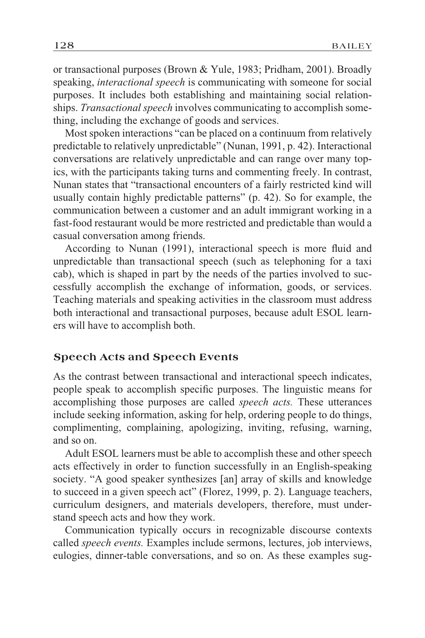or transactional purposes (Brown & Yule, 1983; Pridham, 2001). Broadly speaking, *interactional speech* is communicating with someone for social purposes. It includes both establishing and maintaining social relationships. *Transactional speech* involves communicating to accomplish something, including the exchange of goods and services.

Most spoken interactions "can be placed on a continuum from relatively predictable to relatively unpredictable" (Nunan, 1991, p. 42). Interactional conversations are relatively unpredictable and can range over many topics, with the participants taking turns and commenting freely. In contrast, Nunan states that "transactional encounters of a fairly restricted kind will usually contain highly predictable patterns" (p. 42). So for example, the communication between a customer and an adult immigrant working in a fast-food restaurant would be more restricted and predictable than would a casual conversation among friends.

According to Nunan (1991), interactional speech is more fluid and unpredictable than transactional speech (such as telephoning for a taxi cab), which is shaped in part by the needs of the parties involved to successfully accomplish the exchange of information, goods, or services. Teaching materials and speaking activities in the classroom must address both interactional and transactional purposes, because adult ESOL learners will have to accomplish both.

#### **Speech Acts and Speech Events**

As the contrast between transactional and interactional speech indicates, people speak to accomplish specific purposes. The linguistic means for accomplishing those purposes are called *speech acts.* These utterances include seeking information, asking for help, ordering people to do things, complimenting, complaining, apologizing, inviting, refusing, warning, and so on.

Adult ESOL learners must be able to accomplish these and other speech acts effectively in order to function successfully in an English-speaking society. "A good speaker synthesizes [an] array of skills and knowledge to succeed in a given speech act" (Florez, 1999, p. 2). Language teachers, curriculum designers, and materials developers, therefore, must understand speech acts and how they work.

Communication typically occurs in recognizable discourse contexts called *speech events.* Examples include sermons, lectures, job interviews, eulogies, dinner-table conversations, and so on. As these examples sug-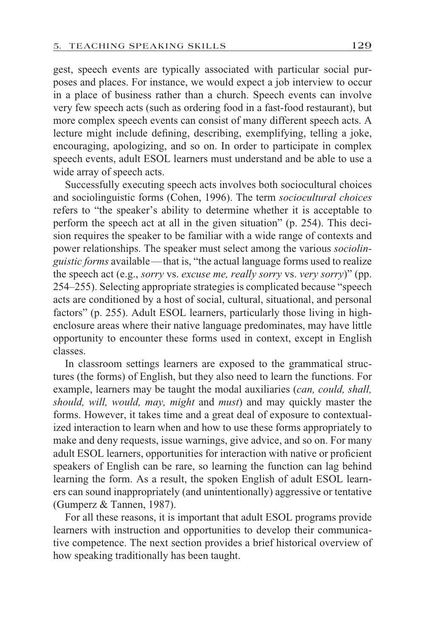gest, speech events are typically associated with particular social purposes and places. For instance, we would expect a job interview to occur in a place of business rather than a church. Speech events can involve very few speech acts (such as ordering food in a fast-food restaurant), but more complex speech events can consist of many different speech acts. A lecture might include defining, describing, exemplifying, telling a joke, encouraging, apologizing, and so on. In order to participate in complex speech events, adult ESOL learners must understand and be able to use a wide array of speech acts.

Successfully executing speech acts involves both sociocultural choices and sociolinguistic forms (Cohen, 1996). The term *sociocultural choices* refers to "the speaker's ability to determine whether it is acceptable to perform the speech act at all in the given situation" (p. 254). This decision requires the speaker to be familiar with a wide range of contexts and power relationships. The speaker must select among the various *sociolinguistic forms* available—that is, "the actual language forms used to realize the speech act (e.g., *sorry* vs. *excuse me, really sorry* vs. *very sorry*)" (pp. 254–255). Selecting appropriate strategies is complicated because "speech acts are conditioned by a host of social, cultural, situational, and personal factors" (p. 255). Adult ESOL learners, particularly those living in highenclosure areas where their native language predominates, may have little opportunity to encounter these forms used in context, except in English classes.

In classroom settings learners are exposed to the grammatical structures (the forms) of English, but they also need to learn the functions. For example, learners may be taught the modal auxiliaries (*can, could, shall, should, will, would, may, might* and *must*) and may quickly master the forms. However, it takes time and a great deal of exposure to contextualized interaction to learn when and how to use these forms appropriately to make and deny requests, issue warnings, give advice, and so on. For many adult ESOL learners, opportunities for interaction with native or proficient speakers of English can be rare, so learning the function can lag behind learning the form. As a result, the spoken English of adult ESOL learners can sound inappropriately (and unintentionally) aggressive or tentative (Gumperz & Tannen, 1987).

For all these reasons, it is important that adult ESOL programs provide learners with instruction and opportunities to develop their communicative competence. The next section provides a brief historical overview of how speaking traditionally has been taught.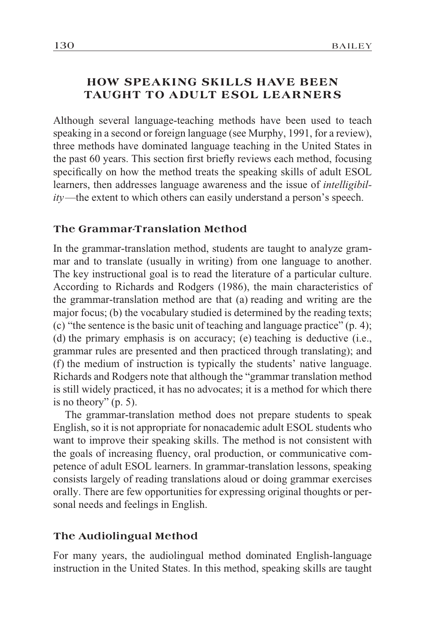# **HOW SPEAKING SKILLS HAVE BEEN TAUGHT TO ADULT ESOL LEARNERS**

Although several language-teaching methods have been used to teach speaking in a second or foreign language (see Murphy, 1991, for a review), three methods have dominated language teaching in the United States in the past 60 years. This section first briefly reviews each method, focusing specifically on how the method treats the speaking skills of adult ESOL learners, then addresses language awareness and the issue of *intelligibility*—the extent to which others can easily understand a person's speech.

### **The Grammar-Translation Method**

In the grammar-translation method, students are taught to analyze grammar and to translate (usually in writing) from one language to another. The key instructional goal is to read the literature of a particular culture. According to Richards and Rodgers (1986), the main characteristics of the grammar-translation method are that (a) reading and writing are the major focus; (b) the vocabulary studied is determined by the reading texts; (c) "the sentence is the basic unit of teaching and language practice" (p. 4); (d) the primary emphasis is on accuracy; (e) teaching is deductive (i.e., grammar rules are presented and then practiced through translating); and (f) the medium of instruction is typically the students' native language. Richards and Rodgers note that although the "grammar translation method is still widely practiced, it has no advocates; it is a method for which there is no theory" (p. 5).

The grammar-translation method does not prepare students to speak English, so it is not appropriate for nonacademic adult ESOL students who want to improve their speaking skills. The method is not consistent with the goals of increasing fluency, oral production, or communicative competence of adult ESOL learners. In grammar-translation lessons, speaking consists largely of reading translations aloud or doing grammar exercises orally. There are few opportunities for expressing original thoughts or personal needs and feelings in English.

#### **The Audiolingual Method**

For many years, the audiolingual method dominated English-language instruction in the United States. In this method, speaking skills are taught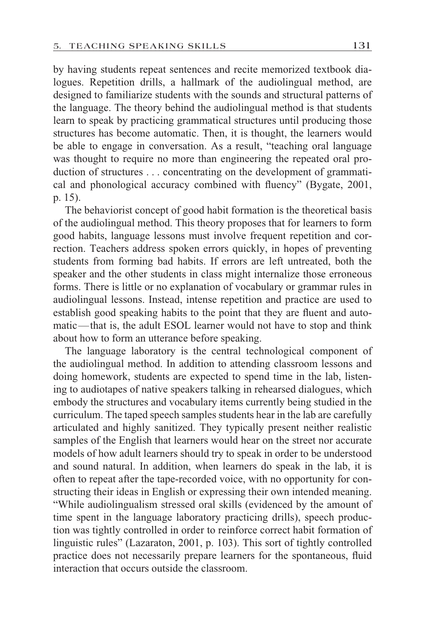by having students repeat sentences and recite memorized textbook dialogues. Repetition drills, a hallmark of the audiolingual method, are designed to familiarize students with the sounds and structural patterns of the language. The theory behind the audiolingual method is that students learn to speak by practicing grammatical structures until producing those structures has become automatic. Then, it is thought, the learners would be able to engage in conversation. As a result, "teaching oral language was thought to require no more than engineering the repeated oral production of structures . . . concentrating on the development of grammatical and phonological accuracy combined with fluency" (Bygate, 2001, p. 15).

The behaviorist concept of good habit formation is the theoretical basis of the audiolingual method. This theory proposes that for learners to form good habits, language lessons must involve frequent repetition and correction. Teachers address spoken errors quickly, in hopes of preventing students from forming bad habits. If errors are left untreated, both the speaker and the other students in class might internalize those erroneous forms. There is little or no explanation of vocabulary or grammar rules in audiolingual lessons. Instead, intense repetition and practice are used to establish good speaking habits to the point that they are fluent and automatic—that is, the adult ESOL learner would not have to stop and think about how to form an utterance before speaking.

The language laboratory is the central technological component of the audiolingual method. In addition to attending classroom lessons and doing homework, students are expected to spend time in the lab, listening to audiotapes of native speakers talking in rehearsed dialogues, which embody the structures and vocabulary items currently being studied in the curriculum. The taped speech samples students hear in the lab are carefully articulated and highly sanitized. They typically present neither realistic samples of the English that learners would hear on the street nor accurate models of how adult learners should try to speak in order to be understood and sound natural. In addition, when learners do speak in the lab, it is often to repeat after the tape-recorded voice, with no opportunity for constructing their ideas in English or expressing their own intended meaning. "While audiolingualism stressed oral skills (evidenced by the amount of time spent in the language laboratory practicing drills), speech production was tightly controlled in order to reinforce correct habit formation of linguistic rules" (Lazaraton, 2001, p. 103). This sort of tightly controlled practice does not necessarily prepare learners for the spontaneous, fluid interaction that occurs outside the classroom.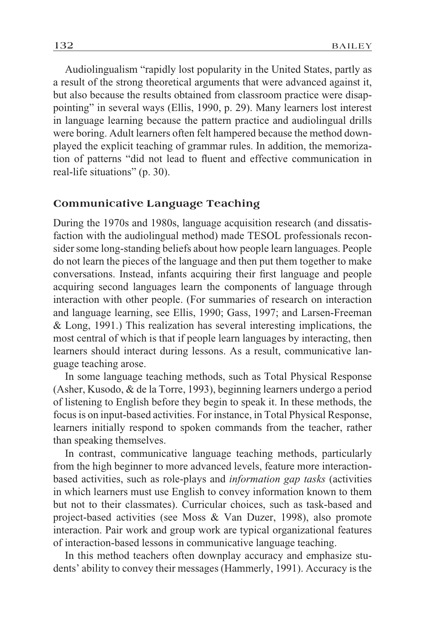Audiolingualism "rapidly lost popularity in the United States, partly as a result of the strong theoretical arguments that were advanced against it, but also because the results obtained from classroom practice were disappointing" in several ways (Ellis, 1990, p. 29). Many learners lost interest in language learning because the pattern practice and audiolingual drills were boring. Adult learners often felt hampered because the method downplayed the explicit teaching of grammar rules. In addition, the memorization of patterns "did not lead to fluent and effective communication in real-life situations" (p. 30).

#### **Communicative Language Teaching**

During the 1970s and 1980s, language acquisition research (and dissatisfaction with the audiolingual method) made TESOL professionals reconsider some long-standing beliefs about how people learn languages. People do not learn the pieces of the language and then put them together to make conversations. Instead, infants acquiring their first language and people acquiring second languages learn the components of language through interaction with other people. (For summaries of research on interaction and language learning, see Ellis, 1990; Gass, 1997; and Larsen-Freeman & Long, 1991.) This realization has several interesting implications, the most central of which is that if people learn languages by interacting, then learners should interact during lessons. As a result, communicative language teaching arose.

In some language teaching methods, such as Total Physical Response (Asher, Kusodo, & de la Torre, 1993), beginning learners undergo a period of listening to English before they begin to speak it. In these methods, the focus is on input-based activities. For instance, in Total Physical Response, learners initially respond to spoken commands from the teacher, rather than speaking themselves.

In contrast, communicative language teaching methods, particularly from the high beginner to more advanced levels, feature more interactionbased activities, such as role-plays and *information gap tasks* (activities in which learners must use English to convey information known to them but not to their classmates). Curricular choices, such as task-based and project-based activities (see Moss & Van Duzer, 1998), also promote interaction. Pair work and group work are typical organizational features of interaction-based lessons in communicative language teaching.

In this method teachers often downplay accuracy and emphasize students' ability to convey their messages (Hammerly, 1991). Accuracy is the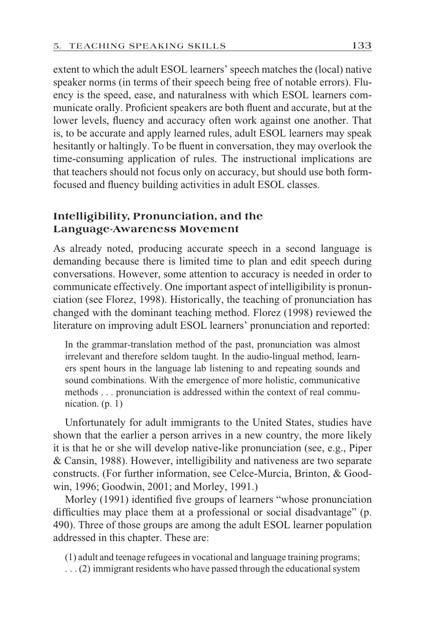extent to which the adult ESOL learners' speech matches the (local) native speaker norms (in terms of their speech being free of notable errors). Fluency is the speed, ease, and naturalness with which ESOL learners communicate orally. Proficient speakers are both fluent and accurate, but at the lower levels, fluency and accuracy often work against one another. That is, to be accurate and apply learned rules, adult ESOL learners may speak hesitantly or haltingly. To be fluent in conversation, they may overlook the time-consuming application of rules. The instructional implications are that teachers should not focus only on accuracy, but should use both formfocused and fluency building activities in adult ESOL classes.

# **Intelligibility, Pronunciation, and the Language-Awareness Movement**

As already noted, producing accurate speech in a second language is demanding because there is limited time to plan and edit speech during conversations. However, some attention to accuracy is needed in order to communicate effectively. One important aspect of intelligibility is pronunciation (see Florez, 1998). Historically, the teaching of pronunciation has changed with the dominant teaching method. Florez (1998) reviewed the literature on improving adult ESOL learners' pronunciation and reported:

In the grammar-translation method of the past, pronunciation was almost irrelevant and therefore seldom taught. In the audio-lingual method, learners spent hours in the language lab listening to and repeating sounds and sound combinations. With the emergence of more holistic, communicative methods . . . pronunciation is addressed within the context of real communication. (p. 1)

Unfortunately for adult immigrants to the United States, studies have shown that the earlier a person arrives in a new country, the more likely it is that he or she will develop native-like pronunciation (see, e.g., Piper & Cansin, 1988). However, intelligibility and nativeness are two separate constructs. (For further information, see Celce-Murcia, Brinton, & Goodwin, 1996; Goodwin, 2001; and Morley, 1991.)

Morley (1991) identified five groups of learners "whose pronunciation difficulties may place them at a professional or social disadvantage" (p. 490). Three of those groups are among the adult ESOL learner population addressed in this chapter. These are:

(1) adult and teenage refugees in vocational and language training programs;

. . . (2) immigrant residents who have passed through the educational system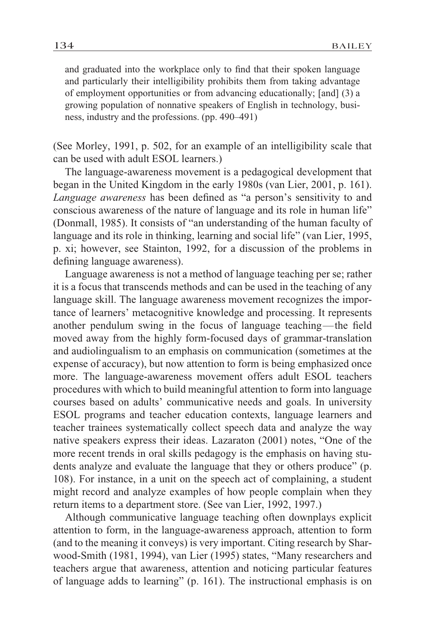and graduated into the workplace only to find that their spoken language and particularly their intelligibility prohibits them from taking advantage of employment opportunities or from advancing educationally; [and] (3) a growing population of nonnative speakers of English in technology, business, industry and the professions. (pp. 490–491)

(See Morley, 1991, p. 502, for an example of an intelligibility scale that can be used with adult ESOL learners.)

The language-awareness movement is a pedagogical development that began in the United Kingdom in the early 1980s (van Lier, 2001, p. 161). *Language awareness* has been defined as "a person's sensitivity to and conscious awareness of the nature of language and its role in human life" (Donmall, 1985). It consists of "an understanding of the human faculty of language and its role in thinking, learning and social life" (van Lier, 1995, p. xi; however, see Stainton, 1992, for a discussion of the problems in defining language awareness).

Language awareness is not a method of language teaching per se; rather it is a focus that transcends methods and can be used in the teaching of any language skill. The language awareness movement recognizes the importance of learners' metacognitive knowledge and processing. It represents another pendulum swing in the focus of language teaching—the field moved away from the highly form-focused days of grammar-translation and audiolingualism to an emphasis on communication (sometimes at the expense of accuracy), but now attention to form is being emphasized once more. The language-awareness movement offers adult ESOL teachers procedures with which to build meaningful attention to form into language courses based on adults' communicative needs and goals. In university ESOL programs and teacher education contexts, language learners and teacher trainees systematically collect speech data and analyze the way native speakers express their ideas. Lazaraton (2001) notes, "One of the more recent trends in oral skills pedagogy is the emphasis on having students analyze and evaluate the language that they or others produce" (p. 108). For instance, in a unit on the speech act of complaining, a student might record and analyze examples of how people complain when they return items to a department store. (See van Lier, 1992, 1997.)

Although communicative language teaching often downplays explicit attention to form, in the language-awareness approach, attention to form (and to the meaning it conveys) is very important. Citing research by Sharwood-Smith (1981, 1994), van Lier (1995) states, "Many researchers and teachers argue that awareness, attention and noticing particular features of language adds to learning" (p. 161). The instructional emphasis is on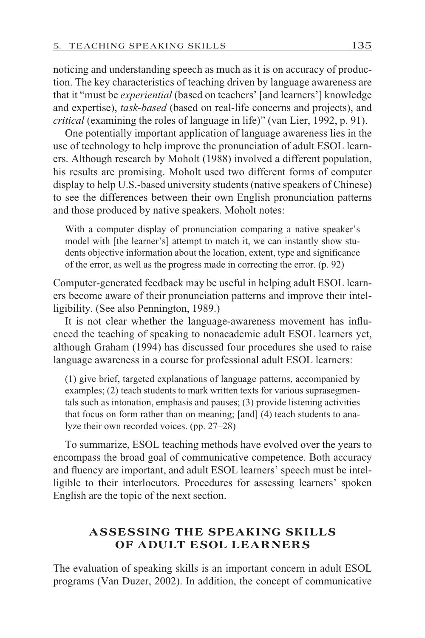noticing and understanding speech as much as it is on accuracy of production. The key characteristics of teaching driven by language awareness are that it "must be *experiential* (based on teachers' [and learners'] knowledge and expertise), *task-based* (based on real-life concerns and projects), and *critical* (examining the roles of language in life)" (van Lier, 1992, p. 91).

One potentially important application of language awareness lies in the use of technology to help improve the pronunciation of adult ESOL learners. Although research by Moholt (1988) involved a different population, his results are promising. Moholt used two different forms of computer display to help U.S.-based university students (native speakers of Chinese) to see the differences between their own English pronunciation patterns and those produced by native speakers. Moholt notes:

With a computer display of pronunciation comparing a native speaker's model with [the learner's] attempt to match it, we can instantly show students objective information about the location, extent, type and significance of the error, as well as the progress made in correcting the error. (p. 92)

Computer-generated feedback may be useful in helping adult ESOL learners become aware of their pronunciation patterns and improve their intelligibility. (See also Pennington, 1989.)

It is not clear whether the language-awareness movement has influenced the teaching of speaking to nonacademic adult ESOL learners yet, although Graham (1994) has discussed four procedures she used to raise language awareness in a course for professional adult ESOL learners:

(1) give brief, targeted explanations of language patterns, accompanied by examples; (2) teach students to mark written texts for various suprasegmentals such as intonation, emphasis and pauses; (3) provide listening activities that focus on form rather than on meaning; [and] (4) teach students to analyze their own recorded voices. (pp. 27–28)

To summarize, ESOL teaching methods have evolved over the years to encompass the broad goal of communicative competence. Both accuracy and fluency are important, and adult ESOL learners' speech must be intelligible to their interlocutors. Procedures for assessing learners' spoken English are the topic of the next section.

# **ASSESSING THE SPEAKING SKILLS OF ADULT ESOL LEARNERS**

The evaluation of speaking skills is an important concern in adult ESOL programs (Van Duzer, 2002). In addition, the concept of communicative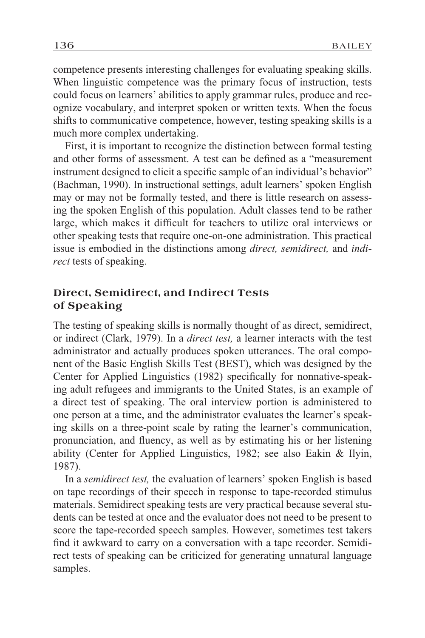competence presents interesting challenges for evaluating speaking skills. When linguistic competence was the primary focus of instruction, tests could focus on learners' abilities to apply grammar rules, produce and recognize vocabulary, and interpret spoken or written texts. When the focus shifts to communicative competence, however, testing speaking skills is a much more complex undertaking.

First, it is important to recognize the distinction between formal testing and other forms of assessment. A test can be defined as a "measurement" instrument designed to elicit a specific sample of an individual's behavior" (Bachman, 1990). In instructional settings, adult learners' spoken English may or may not be formally tested, and there is little research on assessing the spoken English of this population. Adult classes tend to be rather large, which makes it difficult for teachers to utilize oral interviews or other speaking tests that require one-on-one administration. This practical issue is embodied in the distinctions among *direct, semidirect,* and *indirect* tests of speaking.

# **Direct, Semidirect, and Indirect Tests of Speaking**

The testing of speaking skills is normally thought of as direct, semidirect, or indirect (Clark, 1979). In a *direct test,* a learner interacts with the test administrator and actually produces spoken utterances. The oral component of the Basic English Skills Test (BEST), which was designed by the Center for Applied Linguistics (1982) specifically for nonnative-speaking adult refugees and immigrants to the United States, is an example of a direct test of speaking. The oral interview portion is administered to one person at a time, and the administrator evaluates the learner's speaking skills on a three-point scale by rating the learner's communication, pronunciation, and fluency, as well as by estimating his or her listening ability (Center for Applied Linguistics, 1982; see also Eakin & Ilyin, 1987).

In a *semidirect test,* the evaluation of learners' spoken English is based on tape recordings of their speech in response to tape-recorded stimulus materials. Semidirect speaking tests are very practical because several students can be tested at once and the evaluator does not need to be present to score the tape-recorded speech samples. However, sometimes test takers find it awkward to carry on a conversation with a tape recorder. Semidirect tests of speaking can be criticized for generating unnatural language samples.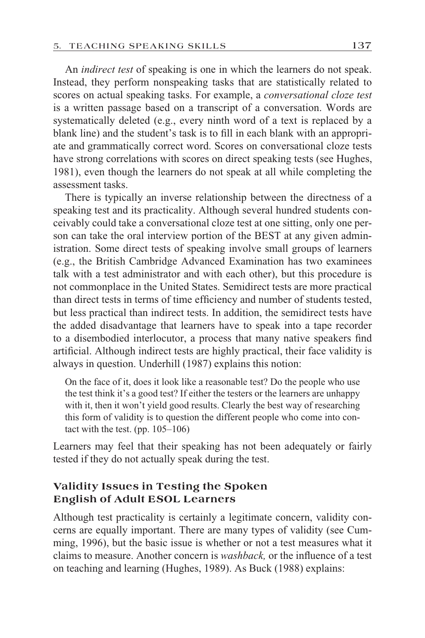An *indirect test* of speaking is one in which the learners do not speak. Instead, they perform nonspeaking tasks that are statistically related to scores on actual speaking tasks. For example, a *conversational cloze test* is a written passage based on a transcript of a conversation. Words are systematically deleted (e.g., every ninth word of a text is replaced by a blank line) and the student's task is to fill in each blank with an appropriate and grammatically correct word. Scores on conversational cloze tests have strong correlations with scores on direct speaking tests (see Hughes, 1981), even though the learners do not speak at all while completing the assessment tasks.

There is typically an inverse relationship between the directness of a speaking test and its practicality. Although several hundred students conceivably could take a conversational cloze test at one sitting, only one person can take the oral interview portion of the BEST at any given administration. Some direct tests of speaking involve small groups of learners (e.g., the British Cambridge Advanced Examination has two examinees talk with a test administrator and with each other), but this procedure is not commonplace in the United States. Semidirect tests are more practical than direct tests in terms of time efficiency and number of students tested, but less practical than indirect tests. In addition, the semidirect tests have the added disadvantage that learners have to speak into a tape recorder to a disembodied interlocutor, a process that many native speakers find artificial. Although indirect tests are highly practical, their face validity is always in question. Underhill (1987) explains this notion:

On the face of it, does it look like a reasonable test? Do the people who use the test think it's a good test? If either the testers or the learners are unhappy with it, then it won't yield good results. Clearly the best way of researching this form of validity is to question the different people who come into contact with the test. (pp. 105–106)

Learners may feel that their speaking has not been adequately or fairly tested if they do not actually speak during the test.

# **Validity Issues in Testing the Spoken English of Adult ESOL Learners**

Although test practicality is certainly a legitimate concern, validity concerns are equally important. There are many types of validity (see Cumming, 1996), but the basic issue is whether or not a test measures what it claims to measure. Another concern is *washback*, or the influence of a test on teaching and learning (Hughes, 1989). As Buck (1988) explains: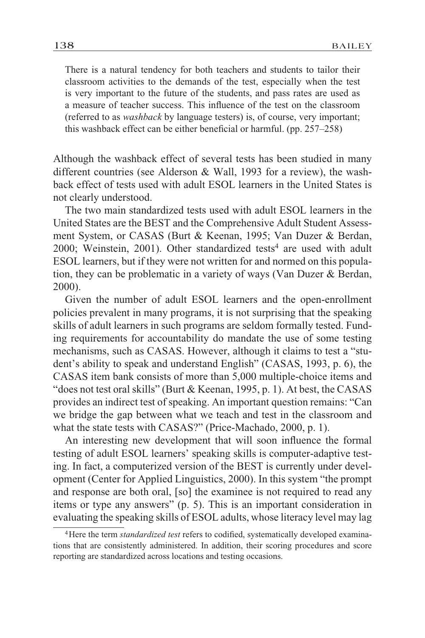There is a natural tendency for both teachers and students to tailor their classroom activities to the demands of the test, especially when the test is very important to the future of the students, and pass rates are used as a measure of teacher success. This influence of the test on the classroom (referred to as *washback* by language testers) is, of course, very important; this washback effect can be either beneficial or harmful. (pp.  $257-258$ )

Although the washback effect of several tests has been studied in many different countries (see Alderson & Wall, 1993 for a review), the washback effect of tests used with adult ESOL learners in the United States is not clearly understood.

The two main standardized tests used with adult ESOL learners in the United States are the BEST and the Comprehensive Adult Student Assessment System, or CASAS (Burt & Keenan, 1995; Van Duzer & Berdan,  $2000$ ; Weinstein,  $2001$ ). Other standardized tests<sup>4</sup> are used with adult ESOL learners, but if they were not written for and normed on this population, they can be problematic in a variety of ways (Van Duzer & Berdan, 2000).

Given the number of adult ESOL learners and the open-enrollment policies prevalent in many programs, it is not surprising that the speaking skills of adult learners in such programs are seldom formally tested. Funding requirements for accountability do mandate the use of some testing mechanisms, such as CASAS. However, although it claims to test a "student's ability to speak and understand English" (CASAS, 1993, p. 6), the CASAS item bank consists of more than 5,000 multiple-choice items and "does not test oral skills" (Burt & Keenan, 1995, p. 1). At best, the CASAS provides an indirect test of speaking. An important question remains: "Can we bridge the gap between what we teach and test in the classroom and what the state tests with CASAS?" (Price-Machado, 2000, p. 1).

An interesting new development that will soon influence the formal testing of adult ESOL learners' speaking skills is computer-adaptive testing. In fact, a computerized version of the BEST is currently under development (Center for Applied Linguistics, 2000). In this system "the prompt and response are both oral, [so] the examinee is not required to read any items or type any answers" (p. 5). This is an important consideration in evaluating the speaking skills of ESOL adults, whose literacy level may lag

<sup>&</sup>lt;sup>4</sup>Here the term *standardized test* refers to codified, systematically developed examinations that are consistently administered. In addition, their scoring procedures and score reporting are standardized across locations and testing occasions.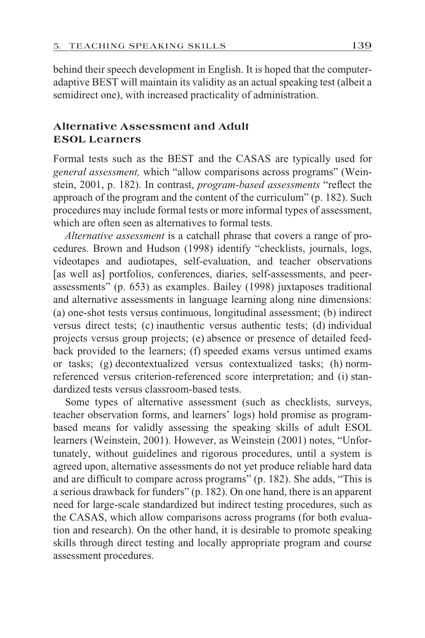behind their speech development in English. It is hoped that the computeradaptive BEST will maintain its validity as an actual speaking test (albeit a semidirect one), with increased practicality of administration.

## **Alternative Assessment and Adult ESOL Learners**

Formal tests such as the BEST and the CASAS are typically used for *general assessment,* which "allow comparisons across programs" (Weinstein, 2001, p. 182). In contrast, *program-based assessments* "reflect the approach of the program and the content of the curriculum" (p. 182). Such procedures may include formal tests or more informal types of assessment, which are often seen as alternatives to formal tests.

*Alternative assessment* is a catchall phrase that covers a range of procedures. Brown and Hudson (1998) identify "checklists, journals, logs, videotapes and audiotapes, self-evaluation, and teacher observations [as well as] portfolios, conferences, diaries, self-assessments, and peer assessments" (p. 653) as examples. Bailey (1998) juxtaposes traditional and alternative assessments in language learning along nine dimensions: (a) one-shot tests versus continuous, longitudinal assessment; (b) indirect versus direct tests; (c) inauthentic versus authentic tests; (d) individual projects versus group projects; (e) absence or presence of detailed feedback provided to the learners; (f) speeded exams versus untimed exams or tasks; (g) decontextualized versus contextualized tasks; (h) norm referenced versus criterion-referenced score interpretation; and (i) standardized tests versus classroom-based tests.

Some types of alternative assessment (such as checklists, surveys, teacher observation forms, and learners' logs) hold promise as programbased means for validly assessing the speaking skills of adult ESOL learners (Weinstein, 2001). However, as Weinstein (2001) notes, "Unfortunately, without guidelines and rigorous procedures, until a system is agreed upon, alternative assessments do not yet produce reliable hard data and are difficult to compare across programs" (p. 182). She adds, "This is a serious drawback for funders" (p. 182). On one hand, there is an apparent need for large-scale standardized but indirect testing procedures, such as the CASAS, which allow comparisons across programs (for both evaluation and research). On the other hand, it is desirable to promote speaking skills through direct testing and locally appropriate program and course assessment procedures.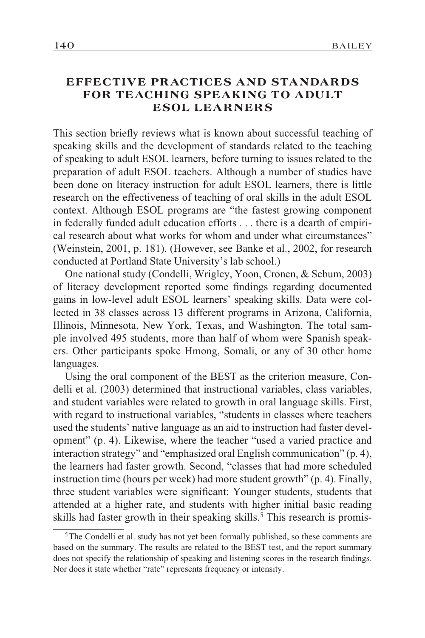# **EFFECTIVE PRACTICES AND STANDARDS FOR TEACHING SPEAKING TO ADULT ESOL LEARNERS**

This section briefly reviews what is known about successful teaching of speaking skills and the development of standards related to the teaching of speaking to adult ESOL learners, before turning to issues related to the preparation of adult ESOL teachers. Although a number of studies have been done on literacy instruction for adult ESOL learners, there is little research on the effectiveness of teaching of oral skills in the adult ESOL context. Although ESOL programs are "the fastest growing component in federally funded adult education efforts . . . there is a dearth of empirical research about what works for whom and under what circumstances" (Weinstein, 2001, p. 181). (However, see Banke et al., 2002, for research conducted at Portland State University's lab school.)

One national study (Condelli, Wrigley, Yoon, Cronen, & Sebum, 2003) of literacy development reported some findings regarding documented gains in low-level adult ESOL learners' speaking skills. Data were collected in 38 classes across 13 different programs in Arizona, California, Illinois, Minnesota, New York, Texas, and Washington. The total sample involved 495 students, more than half of whom were Spanish speakers. Other participants spoke Hmong, Somali, or any of 30 other home languages.

Using the oral component of the BEST as the criterion measure, Condelli et al. (2003) determined that instructional variables, class variables, and student variables were related to growth in oral language skills. First, with regard to instructional variables, "students in classes where teachers used the students' native language as an aid to instruction had faster development" (p. 4). Likewise, where the teacher "used a varied practice and interaction strategy" and "emphasized oral English communication" (p. 4), the learners had faster growth. Second, "classes that had more scheduled instruction time (hours per week) had more student growth" (p. 4). Finally, three student variables were significant: Younger students, students that attended at a higher rate, and students with higher initial basic reading skills had faster growth in their speaking skills.<sup>5</sup> This research is promis-

<sup>&</sup>lt;sup>5</sup>The Condelli et al. study has not yet been formally published, so these comments are based on the summary. The results are related to the BEST test, and the report summary does not specify the relationship of speaking and listening scores in the research findings. Nor does it state whether "rate" represents frequency or intensity.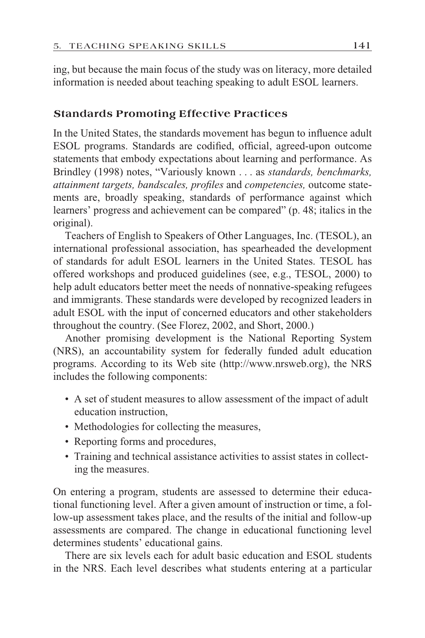ing, but because the main focus of the study was on literacy, more detailed information is needed about teaching speaking to adult ESOL learners.

## **Standards Promoting Effective Practices**

In the United States, the standards movement has begun to influence adult ESOL programs. Standards are codified, official, agreed-upon outcome statements that embody expectations about learning and performance. As Brindley (1998) notes, "Variously known . . . as *standards, benchmarks, attainment targets, bandscales, profi les* and *competencies,* outcome statements are, broadly speaking, standards of performance against which learners' progress and achievement can be compared" (p. 48; italics in the original).

Teachers of English to Speakers of Other Languages, Inc. (TESOL), an international professional association, has spearheaded the development of standards for adult ESOL learners in the United States. TESOL has offered workshops and produced guidelines (see, e.g., TESOL, 2000) to help adult educators better meet the needs of nonnative-speaking refugees and immigrants. These standards were developed by recognized leaders in adult ESOL with the input of concerned educators and other stakeholders throughout the country. (See Florez, 2002, and Short, 2000.)

Another promising development is the National Reporting System (NRS), an accountability system for federally funded adult education programs. According to its Web site (http://www.nrsweb.org), the NRS includes the following components:

- A set of student measures to allow assessment of the impact of adult education instruction,
- Methodologies for collecting the measures,
- Reporting forms and procedures,
- Training and technical assistance activities to assist states in collecting the measures.

On entering a program, students are assessed to determine their educational functioning level. After a given amount of instruction or time, a follow-up assessment takes place, and the results of the initial and follow-up assessments are compared. The change in educational functioning level determines students' educational gains.

There are six levels each for adult basic education and ESOL students in the NRS. Each level describes what students entering at a particular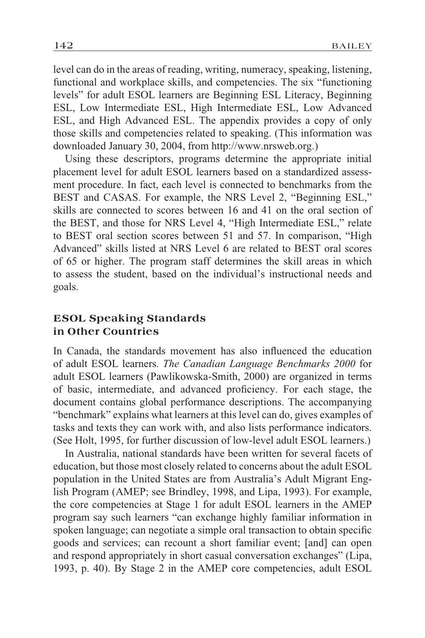level can do in the areas of reading, writing, numeracy, speaking, listening, functional and workplace skills, and competencies. The six "functioning levels" for adult ESOL learners are Beginning ESL Literacy, Beginning ESL, Low Intermediate ESL, High Intermediate ESL, Low Advanced ESL, and High Advanced ESL. The appendix provides a copy of only those skills and competencies related to speaking. (This information was downloaded January 30, 2004, from http://www.nrsweb.org.)

Using these descriptors, programs determine the appropriate initial placement level for adult ESOL learners based on a standardized assessment procedure. In fact, each level is connected to benchmarks from the BEST and CASAS. For example, the NRS Level 2, "Beginning ESL," skills are connected to scores between 16 and 41 on the oral section of the BEST, and those for NRS Level 4, "High Intermediate ESL," relate to BEST oral section scores between 51 and 57. In comparison, "High Advanced" skills listed at NRS Level 6 are related to BEST oral scores of 65 or higher. The program staff determines the skill areas in which to assess the student, based on the individual's instructional needs and goals.

## **ESOL Speaking Standards in Other Countries**

In Canada, the standards movement has also influenced the education of adult ESOL learners*. The Canadian Language Benchmarks 2000* for adult ESOL learners (Pawlikowska-Smith, 2000) are organized in terms of basic, intermediate, and advanced proficiency. For each stage, the document contains global performance descriptions. The accompanying "benchmark" explains what learners at this level can do, gives examples of tasks and texts they can work with, and also lists performance indicators. (See Holt, 1995, for further discussion of low-level adult ESOL learners.)

In Australia, national standards have been written for several facets of education, but those most closely related to concerns about the adult ESOL population in the United States are from Australia's Adult Migrant English Program (AMEP; see Brindley, 1998, and Lipa, 1993). For example, the core competencies at Stage 1 for adult ESOL learners in the AMEP program say such learners "can exchange highly familiar information in spoken language; can negotiate a simple oral transaction to obtain specific goods and services; can recount a short familiar event; [and] can open and respond appropriately in short casual conversation exchanges" (Lipa, 1993, p. 40). By Stage 2 in the AMEP core competencies, adult ESOL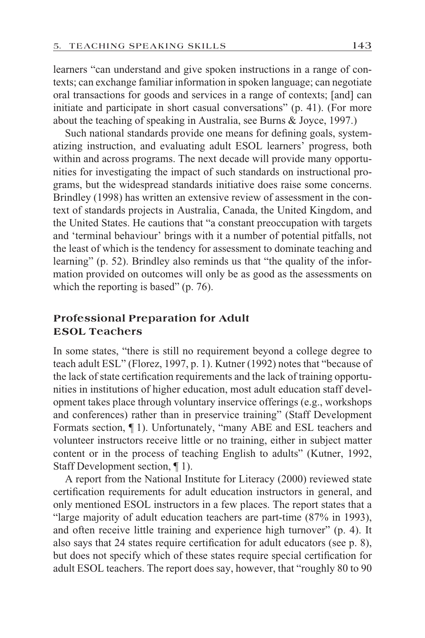learners "can understand and give spoken instructions in a range of contexts; can exchange familiar information in spoken language; can negotiate oral transactions for goods and services in a range of contexts; [and] can initiate and participate in short casual conversations" (p. 41). (For more about the teaching of speaking in Australia, see Burns & Joyce, 1997.)

Such national standards provide one means for defining goals, systematizing instruction, and evaluating adult ESOL learners' progress, both within and across programs. The next decade will provide many opportunities for investigating the impact of such standards on instructional programs, but the widespread standards initiative does raise some concerns. Brindley (1998) has written an extensive review of assessment in the context of standards projects in Australia, Canada, the United Kingdom, and the United States. He cautions that "a constant preoccupation with targets and 'terminal behaviour' brings with it a number of potential pitfalls, not the least of which is the tendency for assessment to dominate teaching and learning" (p. 52). Brindley also reminds us that "the quality of the information provided on outcomes will only be as good as the assessments on which the reporting is based" (p. 76).

## **Professional Preparation for Adult ESOL Teachers**

In some states, "there is still no requirement beyond a college degree to teach adult ESL" (Florez, 1997, p. 1). Kutner (1992) notes that "because of the lack of state certification requirements and the lack of training opportunities in institutions of higher education, most adult education staff development takes place through voluntary inservice offerings (e.g., workshops and conferences) rather than in preservice training" (Staff Development Formats section, ¶ 1). Unfortunately, "many ABE and ESL teachers and volunteer instructors receive little or no training, either in subject matter content or in the process of teaching English to adults" (Kutner, 1992, Staff Development section, ¶ 1).

A report from the National Institute for Literacy (2000) reviewed state certification requirements for adult education instructors in general, and only mentioned ESOL instructors in a few places. The report states that a "large majority of adult education teachers are part-time (87% in 1993), and often receive little training and experience high turnover" (p. 4). It also says that 24 states require certification for adult educators (see  $p. 8$ ), but does not specify which of these states require special certification for adult ESOL teachers. The report does say, however, that "roughly 80 to 90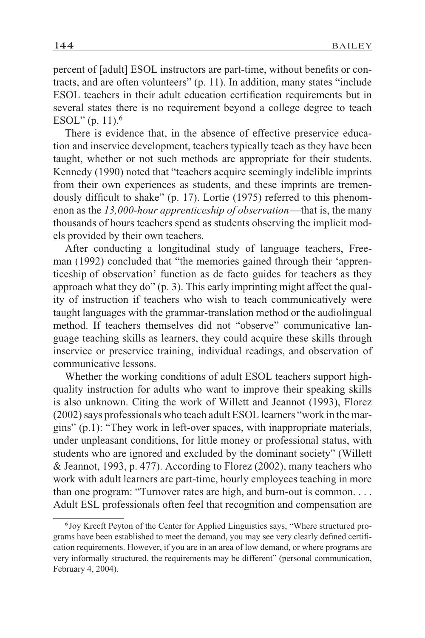percent of [adult] ESOL instructors are part-time, without benefits or contracts, and are often volunteers" (p. 11). In addition, many states "include ESOL teachers in their adult education certification requirements but in several states there is no requirement beyond a college degree to teach ESOL" (p. 11). $^{6}$ 

There is evidence that, in the absence of effective preservice education and inservice development, teachers typically teach as they have been taught, whether or not such methods are appropriate for their students. Kennedy (1990) noted that "teachers acquire seemingly indelible imprints from their own experiences as students, and these imprints are tremendously difficult to shake" (p. 17). Lortie (1975) referred to this phenomenon as the *13,000-hour apprenticeship of observation*—that is, the many thousands of hours teachers spend as students observing the implicit models provided by their own teachers.

After conducting a longitudinal study of language teachers, Freeman (1992) concluded that "the memories gained through their 'apprenticeship of observation' function as de facto guides for teachers as they approach what they do" (p. 3). This early imprinting might affect the quality of instruction if teachers who wish to teach communicatively were taught languages with the grammar-translation method or the audiolingual method. If teachers themselves did not "observe" communicative language teaching skills as learners, they could acquire these skills through inservice or preservice training, individual readings, and observation of communicative lessons.

Whether the working conditions of adult ESOL teachers support highquality instruction for adults who want to improve their speaking skills is also unknown. Citing the work of Willett and Jeannot (1993), Florez (2002) says professionals who teach adult ESOL learners "work in the margins" (p.1): "They work in left-over spaces, with inappropriate materials, under unpleasant conditions, for little money or professional status, with students who are ignored and excluded by the dominant society" (Willett & Jeannot, 1993, p. 477). According to Florez (2002), many teachers who work with adult learners are part-time, hourly employees teaching in more than one program: "Turnover rates are high, and burn-out is common. . . . Adult ESL professionals often feel that recognition and compensation are

<sup>6</sup> Joy Kreeft Peyton of the Center for Applied Linguistics says, "Where structured programs have been established to meet the demand, you may see very clearly defined certification requirements. However, if you are in an area of low demand, or where programs are very informally structured, the requirements may be different" (personal communication, February 4, 2004).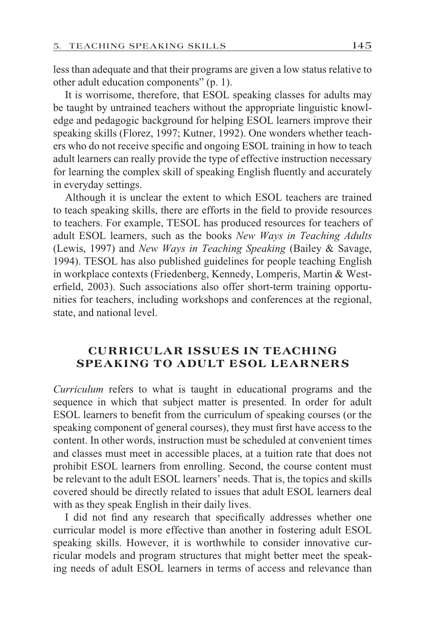less than adequate and that their programs are given a low status relative to other adult education components" (p. 1).

It is worrisome, therefore, that ESOL speaking classes for adults may be taught by untrained teachers without the appropriate linguistic knowledge and pedagogic background for helping ESOL learners improve their speaking skills (Florez, 1997; Kutner, 1992). One wonders whether teachers who do not receive specific and ongoing ESOL training in how to teach adult learners can really provide the type of effective instruction necessary for learning the complex skill of speaking English fluently and accurately in everyday settings.

Although it is unclear the extent to which ESOL teachers are trained to teach speaking skills, there are efforts in the field to provide resources to teachers. For example, TESOL has produced resources for teachers of adult ESOL learners, such as the books *New Ways in Teaching Adults* (Lewis, 1997) and *New Ways in Teaching Speaking* (Bailey & Savage, 1994). TESOL has also published guidelines for people teaching English in workplace contexts (Friedenberg, Kennedy, Lomperis, Martin & Westerfield, 2003). Such associations also offer short-term training opportunities for teachers, including workshops and conferences at the regional, state, and national level.

## **CURRICULAR ISSUES IN TEACHING SPEAKING TO ADULT ESOL LEARNERS**

*Curriculum* refers to what is taught in educational programs and the sequence in which that subject matter is presented. In order for adult ESOL learners to benefit from the curriculum of speaking courses (or the speaking component of general courses), they must first have access to the content. In other words, instruction must be scheduled at convenient times and classes must meet in accessible places, at a tuition rate that does not prohibit ESOL learners from enrolling. Second, the course content must be relevant to the adult ESOL learners' needs. That is, the topics and skills covered should be directly related to issues that adult ESOL learners deal with as they speak English in their daily lives.

I did not find any research that specifically addresses whether one curricular model is more effective than another in fostering adult ESOL speaking skills. However, it is worthwhile to consider innovative curricular models and program structures that might better meet the speaking needs of adult ESOL learners in terms of access and relevance than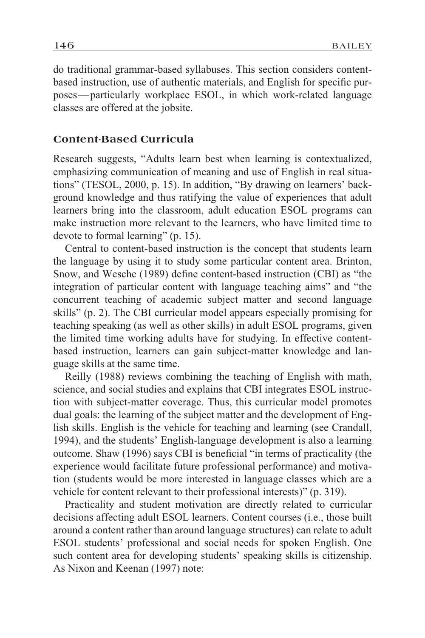do traditional grammar-based syllabuses. This section considers contentbased instruction, use of authentic materials, and English for specific purposes—particularly workplace ESOL, in which work-related language classes are offered at the jobsite.

### **Content-Based Curricula**

Research suggests, "Adults learn best when learning is contextualized, emphasizing communication of meaning and use of English in real situations" (TESOL, 2000, p. 15). In addition, "By drawing on learners' background knowledge and thus ratifying the value of experiences that adult learners bring into the classroom, adult education ESOL programs can make instruction more relevant to the learners, who have limited time to devote to formal learning" (p. 15).

Central to content-based instruction is the concept that students learn the language by using it to study some particular content area. Brinton, Snow, and Wesche (1989) define content-based instruction (CBI) as "the integration of particular content with language teaching aims" and "the concurrent teaching of academic subject matter and second language skills" (p. 2). The CBI curricular model appears especially promising for teaching speaking (as well as other skills) in adult ESOL programs, given the limited time working adults have for studying. In effective contentbased instruction, learners can gain subject-matter knowledge and language skills at the same time.

Reilly (1988) reviews combining the teaching of English with math, science, and social studies and explains that CBI integrates ESOL instruction with subject-matter coverage. Thus, this curricular model promotes dual goals: the learning of the subject matter and the development of English skills. English is the vehicle for teaching and learning (see Crandall, 1994), and the students' English-language development is also a learning outcome. Shaw (1996) says CBI is beneficial "in terms of practicality (the experience would facilitate future professional performance) and motivation (students would be more interested in language classes which are a vehicle for content relevant to their professional interests)" (p. 319).

Practicality and student motivation are directly related to curricular decisions affecting adult ESOL learners. Content courses (i.e., those built around a content rather than around language structures) can relate to adult ESOL students' professional and social needs for spoken English. One such content area for developing students' speaking skills is citizenship. As Nixon and Keenan (1997) note: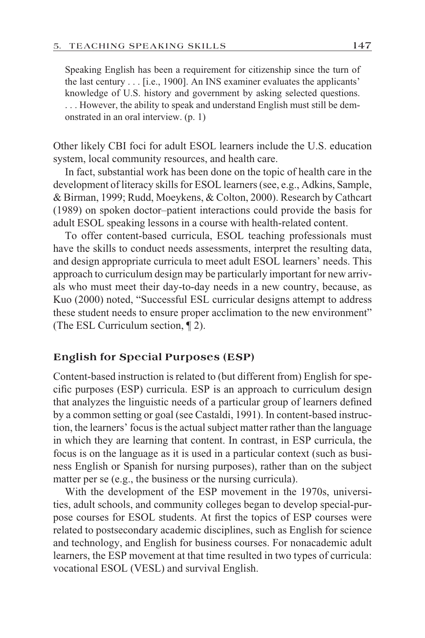Speaking English has been a requirement for citizenship since the turn of the last century . . . [i.e., 1900]. An INS examiner evaluates the applicants' knowledge of U.S. history and government by asking selected questions. . . . However, the ability to speak and understand English must still be demonstrated in an oral interview. (p. 1)

Other likely CBI foci for adult ESOL learners include the U.S. education system, local community resources, and health care.

In fact, substantial work has been done on the topic of health care in the development of literacy skills for ESOL learners (see, e.g., Adkins, Sample, & Birman, 1999; Rudd, Moeykens, & Colton, 2000). Research by Cathcart (1989) on spoken doctor–patient interactions could provide the basis for adult ESOL speaking lessons in a course with health-related content.

To offer content-based curricula, ESOL teaching professionals must have the skills to conduct needs assessments, interpret the resulting data, and design appropriate curricula to meet adult ESOL learners' needs. This approach to curriculum design may be particularly important for new arrivals who must meet their day-to-day needs in a new country, because, as Kuo (2000) noted, "Successful ESL curricular designs attempt to address these student needs to ensure proper acclimation to the new environment" (The ESL Curriculum section, ¶ 2).

#### **English for Special Purposes (ESP)**

Content-based instruction is related to (but different from) English for specific purposes (ESP) curricula. ESP is an approach to curriculum design that analyzes the linguistic needs of a particular group of learners defined by a common setting or goal (see Castaldi, 1991). In content-based instruction, the learners' focus is the actual subject matter rather than the language in which they are learning that content. In contrast, in ESP curricula, the focus is on the language as it is used in a particular context (such as business English or Spanish for nursing purposes), rather than on the subject matter per se (e.g., the business or the nursing curricula).

With the development of the ESP movement in the 1970s, universities, adult schools, and community colleges began to develop special-purpose courses for ESOL students. At first the topics of ESP courses were related to postsecondary academic disciplines, such as English for science and technology, and English for business courses. For nonacademic adult learners, the ESP movement at that time resulted in two types of curricula: vocational ESOL (VESL) and survival English.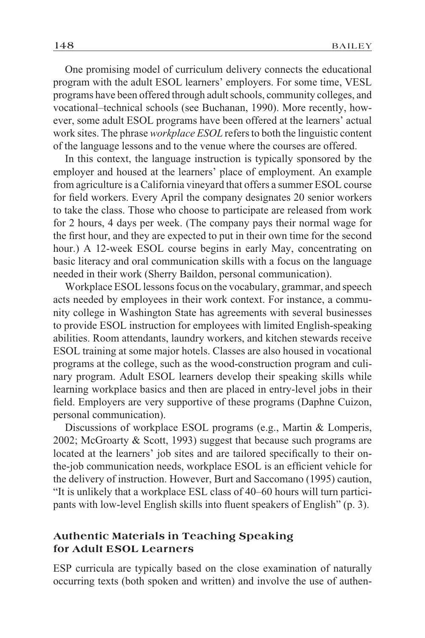One promising model of curriculum delivery connects the educational program with the adult ESOL learners' employers. For some time, VESL programs have been offered through adult schools, community colleges, and vocational–technical schools (see Buchanan, 1990). More recently, however, some adult ESOL programs have been offered at the learners' actual work sites. The phrase *workplace ESOL* refers to both the linguistic content of the language lessons and to the venue where the courses are offered.

In this context, the language instruction is typically sponsored by the employer and housed at the learners' place of employment. An example from agriculture is a California vineyard that offers a summer ESOL course for field workers. Every April the company designates 20 senior workers to take the class. Those who choose to participate are released from work for 2 hours, 4 days per week. (The company pays their normal wage for the first hour, and they are expected to put in their own time for the second hour.) A 12-week ESOL course begins in early May, concentrating on basic literacy and oral communication skills with a focus on the language needed in their work (Sherry Baildon, personal communication).

Workplace ESOL lessons focus on the vocabulary, grammar, and speech acts needed by employees in their work context. For instance, a community college in Washington State has agreements with several businesses to provide ESOL instruction for employees with limited English-speaking abilities. Room attendants, laundry workers, and kitchen stewards receive ESOL training at some major hotels. Classes are also housed in vocational programs at the college, such as the wood-construction program and culinary program. Adult ESOL learners develop their speaking skills while learning workplace basics and then are placed in entry-level jobs in their field. Employers are very supportive of these programs (Daphne Cuizon, personal communication).

Discussions of workplace ESOL programs (e.g., Martin & Lomperis, 2002; McGroarty & Scott, 1993) suggest that because such programs are located at the learners' job sites and are tailored specifically to their onthe-job communication needs, workplace ESOL is an efficient vehicle for the delivery of instruction. However, Burt and Saccomano (1995) caution, "It is unlikely that a workplace ESL class of 40–60 hours will turn participants with low-level English skills into fluent speakers of English" (p. 3).

# **Authentic Materials in Teaching Speaking for Adult ESOL Learners**

ESP curricula are typically based on the close examination of naturally occurring texts (both spoken and written) and involve the use of authen-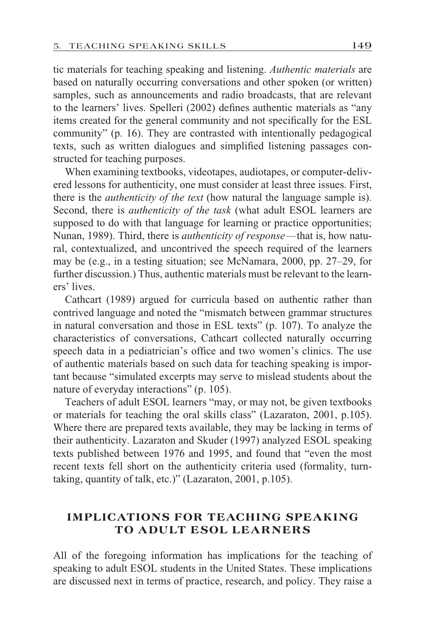tic materials for teaching speaking and listening. *Authentic materials* are based on naturally occurring conversations and other spoken (or written) samples, such as announcements and radio broadcasts, that are relevant to the learners' lives. Spelleri (2002) defines authentic materials as "any items created for the general community and not specifically for the ESL community" (p. 16). They are contrasted with intentionally pedagogical texts, such as written dialogues and simplified listening passages constructed for teaching purposes.

When examining textbooks, videotapes, audiotapes, or computer-delivered lessons for authenticity, one must consider at least three issues. First, there is the *authenticity of the text* (how natural the language sample is). Second, there is *authenticity of the task* (what adult ESOL learners are supposed to do with that language for learning or practice opportunities; Nunan, 1989). Third, there is *authenticity of response—*that is, how natural, contextualized, and uncontrived the speech required of the learners may be (e.g., in a testing situation; see McNamara, 2000, pp. 27–29, for further discussion.) Thus, authentic materials must be relevant to the learners' lives.

Cathcart (1989) argued for curricula based on authentic rather than contrived language and noted the "mismatch between grammar structures in natural conversation and those in ESL texts" (p. 107). To analyze the characteristics of conversations, Cathcart collected naturally occurring speech data in a pediatrician's office and two women's clinics. The use of authentic materials based on such data for teaching speaking is important because "simulated excerpts may serve to mislead students about the nature of everyday interactions" (p. 105).

Teachers of adult ESOL learners "may, or may not, be given textbooks or materials for teaching the oral skills class" (Lazaraton, 2001, p.105). Where there are prepared texts available, they may be lacking in terms of their authenticity. Lazaraton and Skuder (1997) analyzed ESOL speaking texts published between 1976 and 1995, and found that "even the most recent texts fell short on the authenticity criteria used (formality, turn taking, quantity of talk, etc.)" (Lazaraton, 2001, p.105).

# **IMPLICATIONS FOR TEACHING SPEAKING TO ADULT ESOL LEARNERS**

All of the foregoing information has implications for the teaching of speaking to adult ESOL students in the United States. These implications are discussed next in terms of practice, research, and policy. They raise a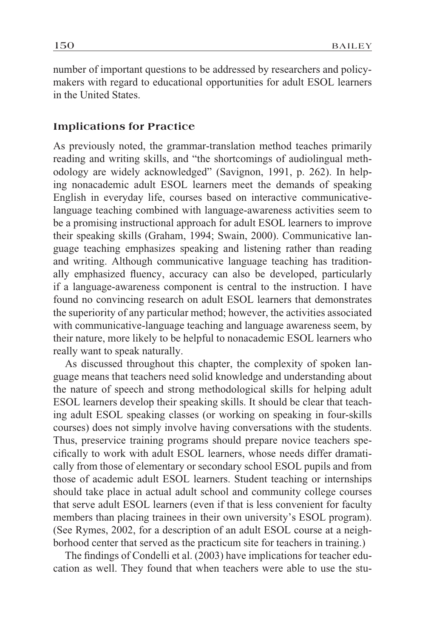number of important questions to be addressed by researchers and policymakers with regard to educational opportunities for adult ESOL learners in the United States.

#### **Implications for Practice**

As previously noted, the grammar-translation method teaches primarily reading and writing skills, and "the shortcomings of audiolingual methodology are widely acknowledged" (Savignon, 1991, p. 262). In helping nonacademic adult ESOL learners meet the demands of speaking English in everyday life, courses based on interactive communicative language teaching combined with language-awareness activities seem to be a promising instructional approach for adult ESOL learners to improve their speaking skills (Graham, 1994; Swain, 2000). Communicative language teaching emphasizes speaking and listening rather than reading and writing. Although communicative language teaching has traditionally emphasized fluency, accuracy can also be developed, particularly if a language- awareness component is central to the instruction. I have found no convincing research on adult ESOL learners that demonstrates the superiority of any particular method; however, the activities associated with communicative-language teaching and language awareness seem, by their nature, more likely to be helpful to nonacademic ESOL learners who really want to speak naturally.

As discussed throughout this chapter, the complexity of spoken language means that teachers need solid knowledge and understanding about the nature of speech and strong methodological skills for helping adult ESOL learners develop their speaking skills. It should be clear that teaching adult ESOL speaking classes (or working on speaking in four-skills courses) does not simply involve having conversations with the students. Thus, preservice training programs should prepare novice teachers specifically to work with adult ESOL learners, whose needs differ dramatically from those of elementary or secondary school ESOL pupils and from those of academic adult ESOL learners. Student teaching or internships should take place in actual adult school and community college courses that serve adult ESOL learners (even if that is less convenient for faculty members than placing trainees in their own university's ESOL program). (See Rymes, 2002, for a description of an adult ESOL course at a neighborhood center that served as the practicum site for teachers in training.)

The findings of Condelli et al. (2003) have implications for teacher education as well. They found that when teachers were able to use the stu-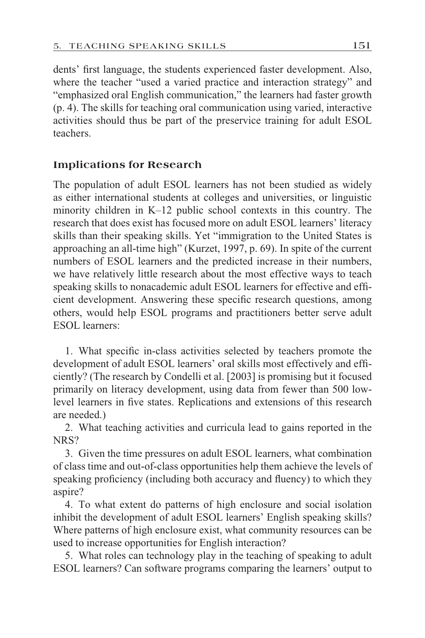dents' first language, the students experienced faster development. Also, where the teacher "used a varied practice and interaction strategy" and "emphasized oral English communication," the learners had faster growth (p. 4). The skills for teaching oral communication using varied, interactive activities should thus be part of the preservice training for adult ESOL teachers.

# **Implications for Research**

The population of adult ESOL learners has not been studied as widely as either international students at colleges and universities, or linguistic minority children in K–12 public school contexts in this country. The research that does exist has focused more on adult ESOL learners' literacy skills than their speaking skills. Yet "immigration to the United States is approaching an all-time high" (Kurzet, 1997, p. 69). In spite of the current numbers of ESOL learners and the predicted increase in their numbers, we have relatively little research about the most effective ways to teach speaking skills to nonacademic adult ESOL learners for effective and efficient development. Answering these specific research questions, among others, would help ESOL programs and practitioners better serve adult ESOL learners:

1. What specific in-class activities selected by teachers promote the development of adult ESOL learners' oral skills most effectively and efficiently? (The research by Condelli et al. [2003] is promising but it focused primarily on literacy development, using data from fewer than 500 lowlevel learners in five states. Replications and extensions of this research are needed.)

2. What teaching activities and curricula lead to gains reported in the NRS?

3. Given the time pressures on adult ESOL learners, what combination of class time and out-of-class opportunities help them achieve the levels of speaking proficiency (including both accuracy and fluency) to which they aspire?

4. To what extent do patterns of high enclosure and social isolation inhibit the development of adult ESOL learners' English speaking skills? Where patterns of high enclosure exist, what community resources can be used to increase opportunities for English interaction?

5. What roles can technology play in the teaching of speaking to adult ESOL learners? Can software programs comparing the learners' output to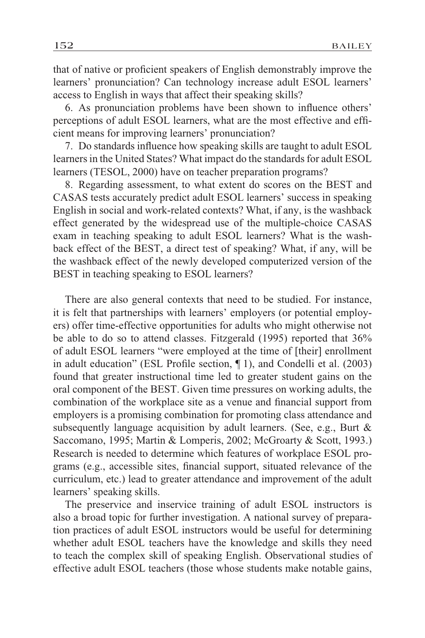that of native or proficient speakers of English demonstrably improve the learners' pronunciation? Can technology increase adult ESOL learners' access to English in ways that affect their speaking skills?

6. As pronunciation problems have been shown to influence others' perceptions of adult ESOL learners, what are the most effective and efficient means for improving learners' pronunciation?

7. Do standards influence how speaking skills are taught to adult ESOL learners in the United States? What impact do the standards for adult ESOL learners (TESOL, 2000) have on teacher preparation programs?

8. Regarding assessment, to what extent do scores on the BEST and CASAS tests accurately predict adult ESOL learners' success in speaking English in social and work-related contexts? What, if any, is the washback effect generated by the widespread use of the multiple-choice CASAS exam in teaching speaking to adult ESOL learners? What is the washback effect of the BEST, a direct test of speaking? What, if any, will be the washback effect of the newly developed computerized version of the BEST in teaching speaking to ESOL learners?

There are also general contexts that need to be studied. For instance, it is felt that partnerships with learners' employers (or potential employers) offer time-effective opportunities for adults who might otherwise not be able to do so to attend classes. Fitzgerald (1995) reported that 36% of adult ESOL learners "were employed at the time of [their] enrollment in adult education" (ESL Profile section,  $\P$  1), and Condelli et al. (2003) found that greater instructional time led to greater student gains on the oral component of the BEST. Given time pressures on working adults, the combination of the workplace site as a venue and financial support from employers is a promising combination for promoting class attendance and subsequently language acquisition by adult learners. (See, e.g., Burt & Saccomano, 1995; Martin & Lomperis, 2002; McGroarty & Scott, 1993.) Research is needed to determine which features of workplace ESOL programs (e.g., accessible sites, financial support, situated relevance of the curriculum, etc.) lead to greater attendance and improvement of the adult learners' speaking skills.

The preservice and inservice training of adult ESOL instructors is also a broad topic for further investigation. A national survey of preparation practices of adult ESOL instructors would be useful for determining whether adult ESOL teachers have the knowledge and skills they need to teach the complex skill of speaking English. Observational studies of effective adult ESOL teachers (those whose students make notable gains,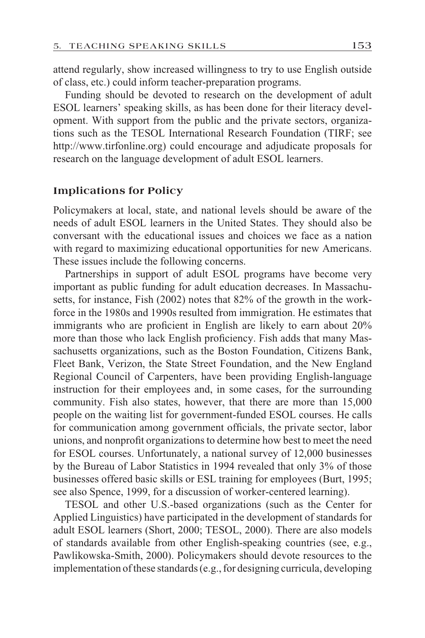attend regularly, show increased willingness to try to use English outside of class, etc.) could inform teacher-preparation programs.

Funding should be devoted to research on the development of adult ESOL learners' speaking skills, as has been done for their literacy development. With support from the public and the private sectors, organizations such as the TESOL International Research Foundation (TIRF; see http://www.tirfonline.org) could encourage and adjudicate proposals for research on the language development of adult ESOL learners.

#### **Implications for Policy**

Policymakers at local, state, and national levels should be aware of the needs of adult ESOL learners in the United States. They should also be conversant with the educational issues and choices we face as a nation with regard to maximizing educational opportunities for new Americans. These issues include the following concerns.

Partnerships in support of adult ESOL programs have become very important as public funding for adult education decreases. In Massachusetts, for instance, Fish (2002) notes that 82% of the growth in the workforce in the 1980s and 1990s resulted from immigration. He estimates that immigrants who are proficient in English are likely to earn about 20% more than those who lack English proficiency. Fish adds that many Massachusetts organizations, such as the Boston Foundation, Citizens Bank, Fleet Bank, Verizon, the State Street Foundation, and the New England Regional Council of Carpenters, have been providing English-language instruction for their employees and, in some cases, for the surrounding community. Fish also states, however, that there are more than 15,000 people on the waiting list for government-funded ESOL courses. He calls for communication among government officials, the private sector, labor unions, and nonprofit organizations to determine how best to meet the need for ESOL courses. Unfortunately, a national survey of 12,000 businesses by the Bureau of Labor Statistics in 1994 revealed that only 3% of those businesses offered basic skills or ESL training for employees (Burt, 1995; see also Spence, 1999, for a discussion of worker-centered learning).

TESOL and other U.S.-based organizations (such as the Center for Applied Linguistics) have participated in the development of standards for adult ESOL learners (Short, 2000; TESOL, 2000). There are also models of standards available from other English-speaking countries (see, e.g., Pawlikowska-Smith, 2000). Policymakers should devote resources to the implementation of these standards (e.g., for designing curricula, developing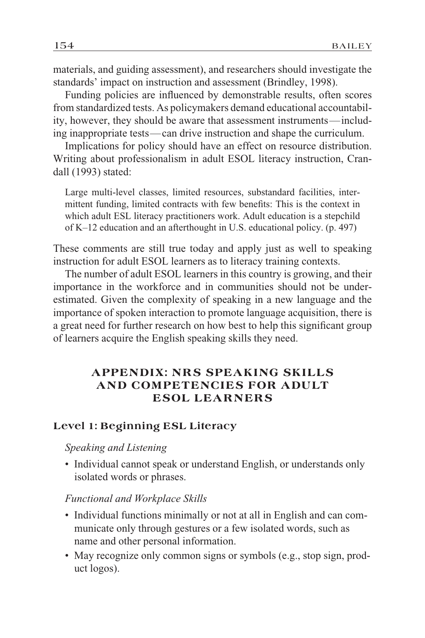materials, and guiding assessment), and researchers should investigate the standards' impact on instruction and assessment (Brindley, 1998).

Funding policies are influenced by demonstrable results, often scores from standardized tests. As policymakers demand educational accountability, however, they should be aware that assessment instruments—including inappropriate tests—can drive instruction and shape the curriculum.

Implications for policy should have an effect on resource distribution. Writing about professionalism in adult ESOL literacy instruction, Crandall (1993) stated:

Large multi-level classes, limited resources, substandard facilities, intermittent funding, limited contracts with few benefits: This is the context in which adult ESL literacy practitioners work. Adult education is a stepchild of K–12 education and an afterthought in U.S. educational policy. (p. 497)

These comments are still true today and apply just as well to speaking instruction for adult ESOL learners as to literacy training contexts.

The number of adult ESOL learners in this country is growing, and their importance in the workforce and in communities should not be underestimated. Given the complexity of speaking in a new language and the importance of spoken interaction to promote language acquisition, there is a great need for further research on how best to help this significant group of learners acquire the English speaking skills they need.

# **APPENDIX: NRS SPEAKING SKILLS AND COMPETENCIES FOR ADULT ESOL LEARNERS**

# **Level 1: Beginning ESL Literacy**

#### *Speaking and Listening*

• Individual cannot speak or understand English, or understands only isolated words or phrases.

#### *Functional and Workplace Skills*

- Individual functions minimally or not at all in English and can communicate only through gestures or a few isolated words, such as name and other personal information.
- May recognize only common signs or symbols (e.g., stop sign, product logos).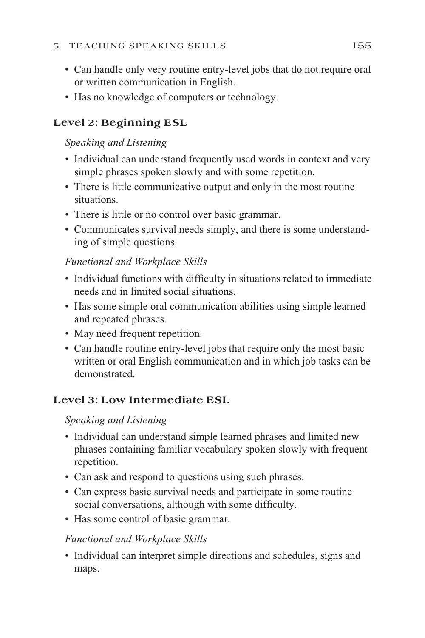- Can handle only very routine entry-level jobs that do not require oral or written communication in English.
- Has no knowledge of computers or technology.

# **Level 2: Beginning ESL**

# *Speaking and Listening*

- Individual can understand frequently used words in context and very simple phrases spoken slowly and with some repetition.
- There is little communicative output and only in the most routine situations.
- There is little or no control over basic grammar.
- Communicates survival needs simply, and there is some understanding of simple questions.

# *Functional and Workplace Skills*

- Individual functions with difficulty in situations related to immediate needs and in limited social situations.
- Has some simple oral communication abilities using simple learned and repeated phrases.
- May need frequent repetition.
- Can handle routine entry-level jobs that require only the most basic written or oral English communication and in which job tasks can be demonstrated.

# **Level 3: Low Intermediate ESL**

# *Speaking and Listening*

- Individual can understand simple learned phrases and limited new phrases containing familiar vocabulary spoken slowly with frequent repetition.
- Can ask and respond to questions using such phrases.
- Can express basic survival needs and participate in some routine social conversations, although with some difficulty.
- Has some control of basic grammar.

# *Functional and Workplace Skills*

• Individual can interpret simple directions and schedules, signs and maps.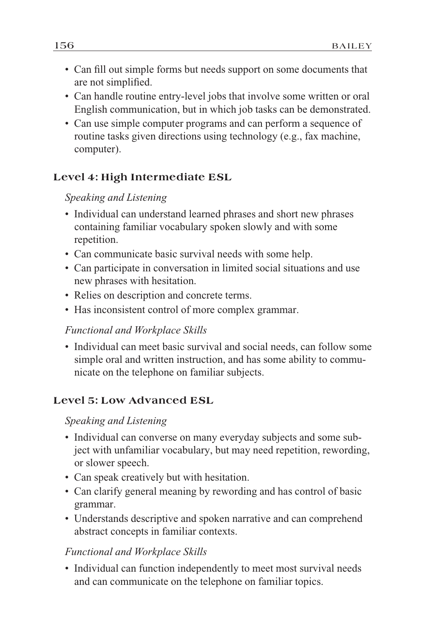- Can fill out simple forms but needs support on some documents that are not simplified.
- Can handle routine entry-level jobs that involve some written or oral English communication, but in which job tasks can be demonstrated.
- Can use simple computer programs and can perform a sequence of routine tasks given directions using technology (e.g., fax machine, computer).

# **Level 4: High Intermediate ESL**

# *Speaking and Listening*

- Individual can understand learned phrases and short new phrases containing familiar vocabulary spoken slowly and with some repetition.
- Can communicate basic survival needs with some help.
- Can participate in conversation in limited social situations and use new phrases with hesitation.
- Relies on description and concrete terms.
- Has inconsistent control of more complex grammar.

## *Functional and Workplace Skills*

• Individual can meet basic survival and social needs, can follow some simple oral and written instruction, and has some ability to communicate on the telephone on familiar subjects.

# **Level 5: Low Advanced ESL**

## *Speaking and Listening*

- Individual can converse on many everyday subjects and some subject with unfamiliar vocabulary, but may need repetition, rewording, or slower speech.
- Can speak creatively but with hesitation.
- Can clarify general meaning by rewording and has control of basic grammar.
- Understands descriptive and spoken narrative and can comprehend abstract concepts in familiar contexts.

# *Functional and Workplace Skills*

• Individual can function independently to meet most survival needs and can communicate on the telephone on familiar topics.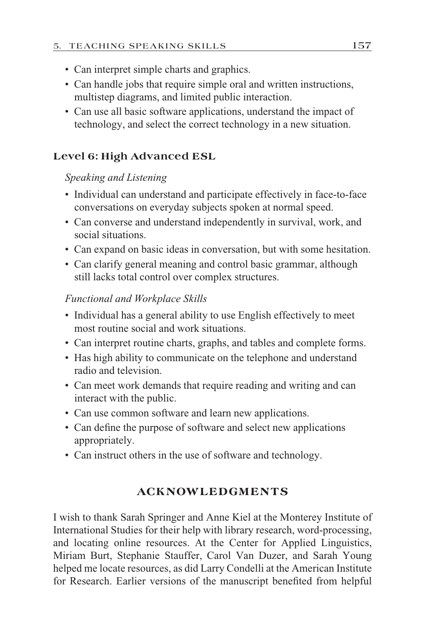- Can interpret simple charts and graphics.
- Can handle jobs that require simple oral and written instructions, multistep diagrams, and limited public interaction.
- Can use all basic software applications, understand the impact of technology, and select the correct technology in a new situation.

# **Level 6: High Advanced ESL**

# *Speaking and Listening*

- Individual can understand and participate effectively in face-to-face conversations on everyday subjects spoken at normal speed.
- Can converse and understand independently in survival, work, and social situations.
- Can expand on basic ideas in conversation, but with some hesitation.
- Can clarify general meaning and control basic grammar, although still lacks total control over complex structures.

# *Functional and Workplace Skills*

- Individual has a general ability to use English effectively to meet most routine social and work situations.
- Can interpret routine charts, graphs, and tables and complete forms.
- Has high ability to communicate on the telephone and understand radio and television.
- Can meet work demands that require reading and writing and can interact with the public.
- Can use common software and learn new applications.
- Can define the purpose of software and select new applications appropriately.
- Can instruct others in the use of software and technology.

# **ACKNOWLEDGMENTS**

I wish to thank Sarah Springer and Anne Kiel at the Monterey Institute of International Studies for their help with library research, word-processing, and locating online resources. At the Center for Applied Linguistics, Miriam Burt, Stephanie Stauffer, Carol Van Duzer, and Sarah Young helped me locate resources, as did Larry Condelli at the American Institute for Research. Earlier versions of the manuscript benefited from helpful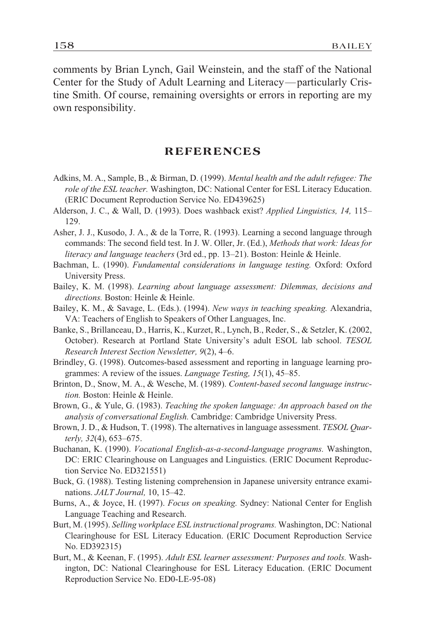comments by Brian Lynch, Gail Weinstein, and the staff of the National Center for the Study of Adult Learning and Literacy—particularly Cristine Smith. Of course, remaining oversights or errors in reporting are my own responsibility.

#### **REFERENCES**

- Adkins, M. A., Sample, B., & Birman, D. (1999). *Mental health and the adult refugee: The role of the ESL teacher.* Washington, DC: National Center for ESL Literacy Education. (ERIC Document Reproduction Service No. ED439625)
- Alderson, J. C., & Wall, D. (1993). Does washback exist? *Applied Linguistics, 14,* 115– 129.
- Asher, J. J., Kusodo, J. A., & de la Torre, R. (1993). Learning a second language through commands: The second field test. In J. W. Oller, Jr. (Ed.), *Methods that work: Ideas for literacy and language teachers* (3rd ed., pp. 13–21). Boston: Heinle & Heinle.
- Bachman, L. (1990). *Fundamental considerations in language testing.* Oxford: Oxford University Press.
- Bailey, K. M. (1998). *Learning about language assessment: Dilemmas, decisions and directions.* Boston: Heinle & Heinle.
- Bailey, K. M., & Savage, L. (Eds.). (1994). *New ways in teaching speaking.* Alexandria, VA: Teachers of English to Speakers of Other Languages, Inc.
- Banke, S., Brillanceau, D., Harris, K., Kurzet, R., Lynch, B., Reder, S., & Setzler, K. (2002, October). Research at Portland State University's adult ESOL lab school. *TESOL Research Interest Section Newsletter, 9*(2), 4–6.
- Brindley, G. (1998). Outcomes-based assessment and reporting in language learning programmes: A review of the issues. *Language Testing, 15*(1), 45–85.
- Brinton, D., Snow, M. A., & Wesche, M. (1989). *Content-based second language instruction.* Boston: Heinle & Heinle.
- Brown, G., & Yule, G. (1983). *Teaching the spoken language: An approach based on the analysis of conversational English.* Cambridge: Cambridge University Press.
- Brown, J. D., & Hudson, T. (1998). The alternatives in language assessment. *TESOL Quarterly, 32*(4), 653–675.
- Buchanan, K. (1990). *Vocational English-as-a-second-language programs.* Washington, DC: ERIC Clearinghouse on Languages and Linguistics. (ERIC Document Reproduction Service No. ED321551)
- Buck, G. (1988). Testing listening comprehension in Japanese university entrance examinations. *JALT Journal,* 10, 15–42.
- Burns, A., & Joyce, H. (1997). *Focus on speaking.* Sydney: National Center for English Language Teaching and Research.
- Burt, M. (1995). *Selling workplace ESL instructional programs.* Washington, DC: National Clearinghouse for ESL Literacy Education. (ERIC Document Reproduction Service No. ED392315)
- Burt, M., & Keenan, F. (1995). *Adult ESL learner assessment: Purposes and tools.* Washington, DC: National Clearinghouse for ESL Literacy Education. (ERIC Document Reproduction Service No. ED0-LE-95-08)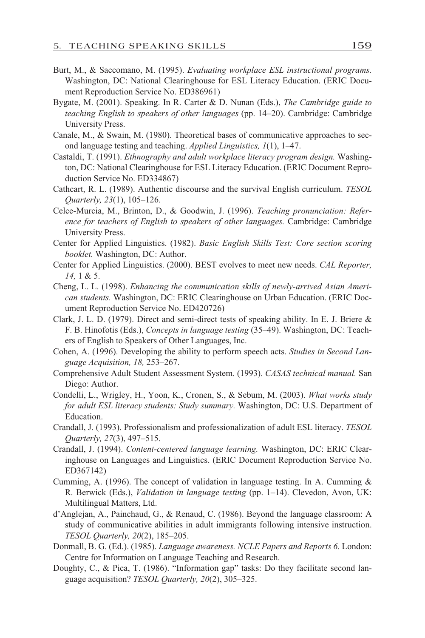- Burt, M., & Saccomano, M. (1995). *Evaluating workplace ESL instructional programs.* Washington, DC: National Clearinghouse for ESL Literacy Education. (ERIC Document Reproduction Service No. ED386961)
- Bygate, M. (2001). Speaking. In R. Carter & D. Nunan (Eds.), *The Cambridge guide to teaching English to speakers of other languages* (pp. 14–20). Cambridge: Cambridge University Press.
- Canale, M., & Swain, M. (1980). Theoretical bases of communicative approaches to second language testing and teaching. *Applied Linguistics, 1*(1), 1–47.
- Castaldi, T. (1991). *Ethnography and adult workplace literacy program design.* Washington, DC: National Clearinghouse for ESL Literacy Education. (ERIC Document Reproduction Service No. ED334867)
- Cathcart, R. L. (1989). Authentic discourse and the survival English curriculum. *TESOL Quarterly, 23*(1), 105–126.
- Celce-Murcia, M., Brinton, D., & Goodwin, J. (1996). *Teaching pronunciation: Reference for teachers of English to speakers of other languages.* Cambridge: Cambridge University Press.
- Center for Applied Linguistics. (1982). *Basic English Skills Test: Core section scoring booklet.* Washington, DC: Author.
- Center for Applied Linguistics. (2000). BEST evolves to meet new needs. *CAL Reporter, 14,* 1 & 5.
- Cheng, L. L. (1998). *Enhancing the communication skills of newly-arrived Asian American students.* Washington, DC: ERIC Clearinghouse on Urban Education. (ERIC Document Reproduction Service No. ED420726)
- Clark, J. L. D. (1979). Direct and semi-direct tests of speaking ability. In E. J. Briere & F. B. Hinofotis (Eds.), *Concepts in language testing* (35–49). Washington, DC: Teachers of English to Speakers of Other Languages, Inc.
- Cohen, A. (1996). Developing the ability to perform speech acts. *Studies in Second Language Acquisition, 18,* 253–267.
- Comprehensive Adult Student Assessment System. (1993). *CASAS technical manual.* San Diego: Author.
- Condelli, L., Wrigley, H., Yoon, K., Cronen, S., & Sebum, M. (2003). *What works study for adult ESL literacy students: Study summary.* Washington, DC: U.S. Department of Education.
- Crandall, J. (1993). Professionalism and professionalization of adult ESL literacy. *TESOL Quarterly, 27*(3), 497–515.
- Crandall, J. (1994). *Content-centered language learning.* Washington, DC: ERIC Clearinghouse on Languages and Linguistics. (ERIC Document Reproduction Service No. ED367142)
- Cumming, A. (1996). The concept of validation in language testing. In A. Cumming & R. Berwick (Eds.), *Validation in language testing* (pp. 1–14). Clevedon, Avon, UK: Multilingual Matters, Ltd.
- d'Anglejan, A., Painchaud, G., & Renaud, C. (1986). Beyond the language classroom: A study of communicative abilities in adult immigrants following intensive instruction. *TESOL Quarterly, 20*(2), 185–205.
- Donmall, B. G. (Ed.). (1985). *Language awareness. NCLE Papers and Reports 6.* London: Centre for Information on Language Teaching and Research.
- Doughty, C., & Pica, T. (1986). "Information gap" tasks: Do they facilitate second language acquisition? *TESOL Quarterly, 20*(2), 305–325.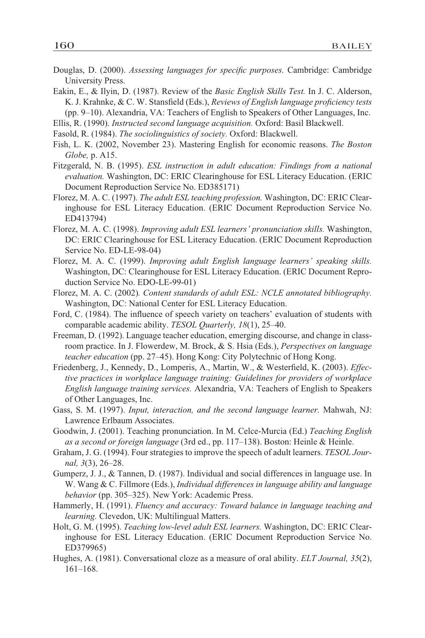- Douglas, D. (2000). *Assessing languages for specific purposes*. Cambridge: Cambridge University Press.
- Eakin, E., & Ilyin, D. (1987). Review of the *Basic English Skills Test.* In J. C. Alderson, K. J. Krahnke, & C. W. Stansfield (Eds.), *Reviews of English language proficiency tests* (pp. 9–10). Alexandria, VA: Teachers of English to Speakers of Other Languages, Inc.

Ellis, R. (1990). *Instructed second language acquisition.* Oxford: Basil Blackwell.

- Fasold, R. (1984). *The sociolinguistics of society.* Oxford: Blackwell.
- Fish, L. K. (2002, November 23). Mastering English for economic reasons. *The Boston Globe,* p. A15.
- Fitzgerald, N. B. (1995). *ESL instruction in adult education: Findings from a national evaluation.* Washington, DC: ERIC Clearinghouse for ESL Literacy Education. (ERIC Document Reproduction Service No. ED385171)
- Florez, M. A. C. (1997). *The adult ESL teaching profession.* Washington, DC: ERIC Clearinghouse for ESL Literacy Education. (ERIC Document Reproduction Service No. ED413794)
- Florez, M. A. C. (1998). *Improving adult ESL learners' pronunciation skills.* Washington, DC: ERIC Clearinghouse for ESL Literacy Education. (ERIC Document Reproduction Service No. ED-LE-98-04)
- Florez, M. A. C. (1999). *Improving adult English language learners' speaking skills.* Washington, DC: Clearinghouse for ESL Literacy Education. (ERIC Document Reproduction Service No. EDO-LE-99-01)
- Florez, M. A. C. (2002)*. Content standards of adult ESL: NCLE annotated bibliography.*  Washington, DC: National Center for ESL Literacy Education.
- Ford, C. (1984). The influence of speech variety on teachers' evaluation of students with comparable academic ability. *TESOL Quarterly, 18*(1), 25–40.
- Freeman, D. (1992). Language teacher education, emerging discourse, and change in classroom practice. In J. Flowerdew, M. Brock, & S. Hsia (Eds.), *Perspectives on language teacher education* (pp. 27–45). Hong Kong: City Polytechnic of Hong Kong.
- Friedenberg, J., Kennedy, D., Lomperis, A., Martin, W., & Westerfield, K. (2003). *Effective practices in workplace language training: Guidelines for providers of workplace English language training services.* Alexandria, VA: Teachers of English to Speakers of Other Languages, Inc.
- Gass, S. M. (1997). *Input, interaction, and the second language learner.* Mahwah, NJ: Lawrence Erlbaum Associates.
- Goodwin, J. (2001). Teaching pronunciation. In M. Celce-Murcia (Ed.) *Teaching English as a second or foreign language* (3rd ed., pp. 117–138). Boston: Heinle & Heinle.
- Graham, J. G. (1994). Four strategies to improve the speech of adult learners. *TESOL Journal, 3*(3), 26–28.
- Gumperz, J. J., & Tannen, D. (1987). Individual and social differences in language use. In W. Wang & C. Fillmore (Eds.), *Individual differences in language ability and language behavior* (pp. 305–325). New York: Academic Press.
- Hammerly, H. (1991). *Fluency and accuracy: Toward balance in language teaching and learning.* Clevedon, UK: Multilingual Matters.
- Holt, G. M. (1995). *Teaching low-level adult ESL learners.* Washington, DC: ERIC Clearinghouse for ESL Literacy Education. (ERIC Document Reproduction Service No. ED379965)
- Hughes, A. (1981). Conversational cloze as a measure of oral ability. *ELT Journal, 35*(2), 161–168.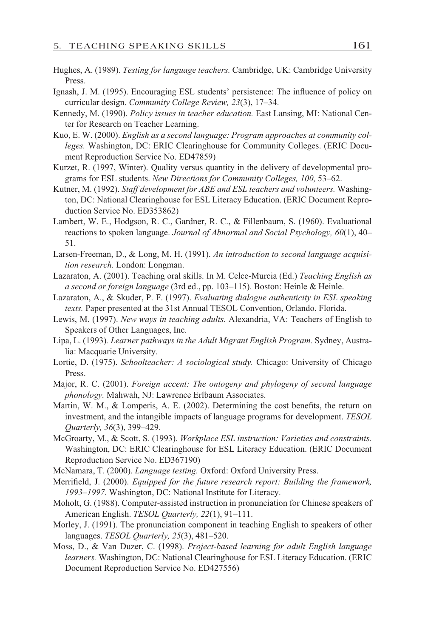- Hughes, A. (1989). *Testing for language teachers.* Cambridge, UK: Cambridge University Press.
- Ignash, J. M. (1995). Encouraging ESL students' persistence: The influence of policy on curricular design. *Community College Review, 23*(3), 17–34.
- Kennedy, M. (1990). *Policy issues in teacher education.* East Lansing, MI: National Center for Research on Teacher Learning.
- Kuo, E. W. (2000). *English as a second language: Program approaches at community colleges.* Washington, DC: ERIC Clearinghouse for Community Colleges. (ERIC Document Reproduction Service No. ED47859)
- Kurzet, R. (1997, Winter). Quality versus quantity in the delivery of developmental programs for ESL students. *New Directions for Community Colleges, 100,* 53–62.
- Kutner, M. (1992). *Staff development for ABE and ESL teachers and volunteers.* Washington, DC: National Clearinghouse for ESL Literacy Education. (ERIC Document Reproduction Service No. ED353862)
- Lambert, W. E., Hodgson, R. C., Gardner, R. C., & Fillenbaum, S. (1960). Evaluational reactions to spoken language. *Journal of Abnormal and Social Psychology, 60*(1), 40– 51.
- Larsen-Freeman, D., & Long, M. H. (1991). *An introduction to second language acquisition research.* London: Longman.
- Lazaraton, A. (2001). Teaching oral skills. In M. Celce-Murcia (Ed.) *Teaching English as a second or foreign language* (3rd ed., pp. 103–115). Boston: Heinle & Heinle.
- Lazaraton, A., & Skuder, P. F. (1997). *Evaluating dialogue authenticity in ESL speaking texts.* Paper presented at the 31st Annual TESOL Convention, Orlando, Florida.
- Lewis, M. (1997). *New ways in teaching adults.* Alexandria, VA: Teachers of English to Speakers of Other Languages, Inc.
- Lipa, L. (1993)*. Learner pathways in the Adult Migrant English Program.* Sydney, Australia: Macquarie University.
- Lortie, D. (1975). *Schoolteacher: A sociological study.* Chicago: University of Chicago Press.
- Major, R. C. (2001). *Foreign accent: The ontogeny and phylogeny of second language phonology.* Mahwah, NJ: Lawrence Erlbaum Associates.
- Martin, W. M., & Lomperis, A. E. (2002). Determining the cost benefits, the return on investment, and the intangible impacts of language programs for development. *TESOL Quarterly, 36*(3), 399–429.
- McGroarty, M., & Scott, S. (1993). *Workplace ESL instruction: Varieties and constraints.*  Washington, DC: ERIC Clearinghouse for ESL Literacy Education. (ERIC Document Reproduction Service No. ED367190)
- McNamara, T. (2000). *Language testing.* Oxford: Oxford University Press.
- Merrifield, J. (2000). *Equipped for the future research report: Building the framework, 1993–1997.* Washington, DC: National Institute for Literacy.
- Moholt, G. (1988). Computer-assisted instruction in pronunciation for Chinese speakers of American English. *TESOL Quarterly, 22*(1), 91–111.
- Morley, J. (1991). The pronunciation component in teaching English to speakers of other languages. *TESOL Quarterly, 25*(3), 481–520.
- Moss, D., & Van Duzer, C. (1998). *Project-based learning for adult English language learners.* Washington, DC: National Clearinghouse for ESL Literacy Education. (ERIC Document Reproduction Service No. ED427556)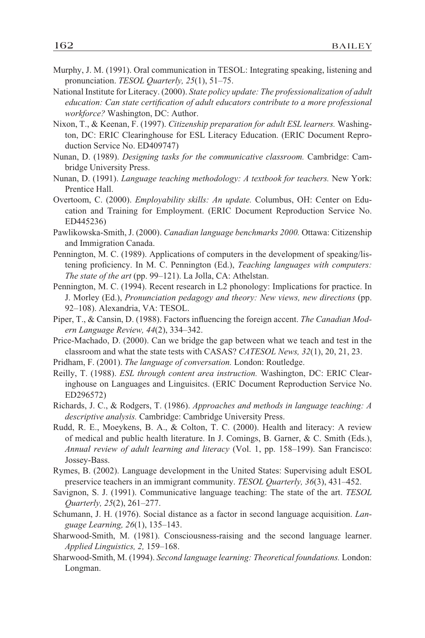- Murphy, J. M. (1991). Oral communication in TESOL: Integrating speaking, listening and pronunciation. *TESOL Quarterly, 25*(1), 51–75.
- National Institute for Literacy. (2000). *State policy update: The professionalization of adult education: Can state certification of adult educators contribute to a more professional workforce?* Washington, DC: Author.
- Nixon, T., & Keenan, F. (1997). *Citizenship preparation for adult ESL learners.* Washington, DC: ERIC Clearinghouse for ESL Literacy Education. (ERIC Document Reproduction Service No. ED409747)
- Nunan, D. (1989). *Designing tasks for the communicative classroom.* Cambridge: Cambridge University Press.
- Nunan, D. (1991). *Language teaching methodology: A textbook for teachers.* New York: Prentice Hall.
- Overtoom, C. (2000). *Employability skills: An update.* Columbus, OH: Center on Education and Training for Employment. (ERIC Document Reproduction Service No. ED445236)
- Pawlikowska-Smith, J. (2000). *Canadian language benchmarks 2000.* Ottawa: Citizenship and Immigration Canada.
- Pennington, M. C. (1989). Applications of computers in the development of speaking/listening proficiency. In M. C. Pennington (Ed.), *Teaching languages with computers: The state of the art* (pp. 99–121). La Jolla, CA: Athelstan.
- Pennington, M. C. (1994). Recent research in L2 phonology: Implications for practice. In J. Morley (Ed.), *Pronunciation pedagogy and theory: New views, new directions* (pp. 92–108). Alexandria, VA: TESOL.
- Piper, T., & Cansin, D. (1988). Factors influencing the foreign accent. *The Canadian Modern Language Review, 44*(2), 334–342.
- Price-Machado, D. (2000). Can we bridge the gap between what we teach and test in the classroom and what the state tests with CASAS? *CATESOL News, 32*(1), 20, 21, 23.
- Pridham, F. (2001). *The language of conversation.* London: Routledge.
- Reilly, T. (1988). *ESL through content area instruction.* Washington, DC: ERIC Clearinghouse on Languages and Linguisitcs. (ERIC Document Reproduction Service No. ED296572)
- Richards, J. C., & Rodgers, T. (1986). *Approaches and methods in language teaching: A descriptive analysis.* Cambridge: Cambridge University Press.
- Rudd, R. E., Moeykens, B. A., & Colton, T. C. (2000). Health and literacy: A review of medical and public health literature. In J. Comings, B. Garner, & C. Smith (Eds.), *Annual review of adult learning and literacy* (Vol. 1, pp. 158–199). San Francisco: Jossey-Bass.
- Rymes, B. (2002). Language development in the United States: Supervising adult ESOL preservice teachers in an immigrant community. *TESOL Quarterly, 36*(3), 431–452.
- Savignon, S. J. (1991). Communicative language teaching: The state of the art. *TESOL Quarterly, 25*(2), 261–277.
- Schumann, J. H. (1976). Social distance as a factor in second language acquisition. *Language Learning, 26*(1), 135–143.
- Sharwood-Smith, M. (1981). Consciousness-raising and the second language learner. *Applied Linguistics, 2,* 159–168.
- Sharwood-Smith, M. (1994). *Second language learning: Theoretical foundations.* London: Longman.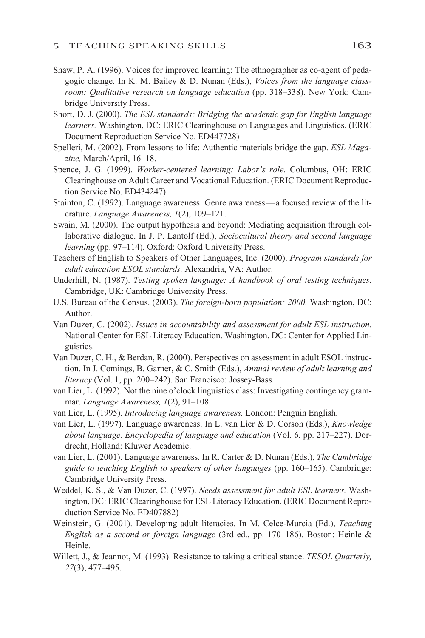- Shaw, P. A. (1996). Voices for improved learning: The ethnographer as co-agent of pedagogic change. In K. M. Bailey & D. Nunan (Eds.), *Voices from the language classroom: Qualitative research on language education* (pp. 318–338). New York: Cambridge University Press.
- Short, D. J. (2000). *The ESL standards: Bridging the academic gap for English language learners.* Washington, DC: ERIC Clearinghouse on Languages and Linguistics. (ERIC Document Reproduction Service No. ED447728)
- Spelleri, M. (2002). From lessons to life: Authentic materials bridge the gap. *ESL Magazine,* March/April, 16–18.
- Spence, J. G. (1999). *Worker-centered learning: Labor's role.* Columbus, OH: ERIC Clearinghouse on Adult Career and Vocational Education. (ERIC Document Reproduction Service No. ED434247)
- Stainton, C. (1992). Language awareness: Genre awareness—a focused review of the literature. *Language Awareness, 1*(2), 109–121.
- Swain, M. (2000). The output hypothesis and beyond: Mediating acquisition through collaborative dialogue. In J. P. Lantolf (Ed.), *Sociocultural theory and second language learning* (pp. 97–114). Oxford: Oxford University Press.
- Teachers of English to Speakers of Other Languages, Inc. (2000). *Program standards for adult education ESOL standards.* Alexandria, VA: Author.
- Underhill, N. (1987). *Testing spoken language: A handbook of oral testing techniques.* Cambridge, UK: Cambridge University Press.
- U.S. Bureau of the Census. (2003). *The foreign-born population: 2000.* Washington, DC: Author.
- Van Duzer, C. (2002). *Issues in accountability and assessment for adult ESL instruction.*  National Center for ESL Literacy Education. Washington, DC: Center for Applied Linguistics.
- Van Duzer, C. H., & Berdan, R. (2000). Perspectives on assessment in adult ESOL instruction. In J. Comings, B. Garner, & C. Smith (Eds.), *Annual review of adult learning and literacy* (Vol. 1, pp. 200–242). San Francisco: Jossey-Bass.
- van Lier, L. (1992). Not the nine o'clock linguistics class: Investigating contingency grammar. *Language Awareness, 1*(2), 91–108.
- van Lier, L. (1995). *Introducing language awareness.* London: Penguin English.
- van Lier, L. (1997). Language awareness. In L. van Lier & D. Corson (Eds.), *Knowledge about language. Encyclopedia of language and education* (Vol. 6, pp. 217–227). Dordrecht, Holland: Kluwer Academic.
- van Lier, L. (2001). Language awareness. In R. Carter & D. Nunan (Eds.), *The Cambridge guide to teaching English to speakers of other languages* (pp. 160–165). Cambridge: Cambridge University Press.
- Weddel, K. S., & Van Duzer, C. (1997). *Needs assessment for adult ESL learners.* Washington, DC: ERIC Clearinghouse for ESL Literacy Education. (ERIC Document Reproduction Service No. ED407882)
- Weinstein, G. (2001). Developing adult literacies. In M. Celce-Murcia (Ed.), *Teaching English as a second or foreign language* (3rd ed., pp. 170–186). Boston: Heinle & Heinle.
- Willett, J., & Jeannot, M. (1993). Resistance to taking a critical stance. *TESOL Quarterly, 27*(3), 477–495.